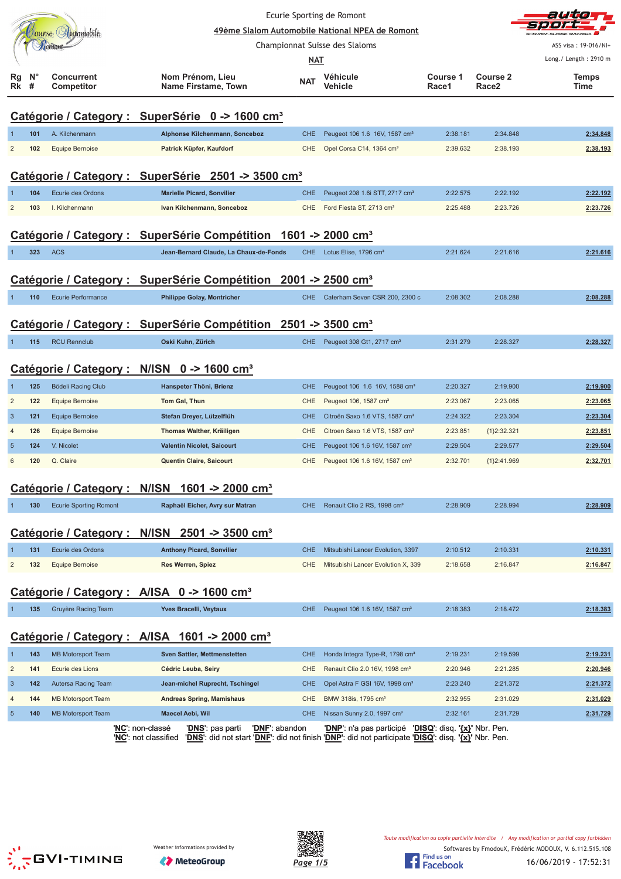|                                                        |                  |                                 |                                                                                                           | Ecurie Sporting de Romont                       |                                                                                                                                          | auto                                            |                   |                       |
|--------------------------------------------------------|------------------|---------------------------------|-----------------------------------------------------------------------------------------------------------|-------------------------------------------------|------------------------------------------------------------------------------------------------------------------------------------------|-------------------------------------------------|-------------------|-----------------------|
|                                                        |                  | Jourse Automobile               |                                                                                                           | 49ème Slalom Automobile National NPEA de Romont |                                                                                                                                          |                                                 |                   |                       |
|                                                        |                  | <b>Готон</b>                    |                                                                                                           |                                                 | Championnat Suisse des Slaloms                                                                                                           |                                                 |                   | ASS visa: 19-016/NI+  |
|                                                        |                  |                                 |                                                                                                           | <b>NAT</b>                                      |                                                                                                                                          |                                                 |                   | Long./ Length: 2910 m |
| Rg<br>Rk                                               | $N^{\circ}$<br># | <b>Concurrent</b><br>Competitor | Nom Prénom, Lieu<br><b>Name Firstame, Town</b>                                                            | <b>NAT</b>                                      | Véhicule<br>Vehicle                                                                                                                      | <b>Course 1</b><br>Race1                        | Course 2<br>Race2 | Temps<br>Time         |
|                                                        |                  |                                 | Catégorie / Category : SuperSérie 0 -> 1600 cm <sup>3</sup>                                               |                                                 |                                                                                                                                          |                                                 |                   |                       |
|                                                        | 101              | A. Kilchenmann                  | Alphonse Kilchenmann, Sonceboz                                                                            | <b>CHE</b>                                      | Peugeot 106 1.6 16V, 1587 cm <sup>3</sup>                                                                                                | 2:38.181                                        | 2:34.848          | 2:34.848              |
| 2                                                      | 102              | <b>Equipe Bernoise</b>          | Patrick Küpfer, Kaufdorf                                                                                  | <b>CHE</b>                                      | Opel Corsa C14, 1364 cm <sup>3</sup>                                                                                                     | 2:39.632                                        | 2:38.193          | 2:38.193              |
|                                                        |                  |                                 | Catégorie / Category : SuperSérie 2501 -> 3500 cm <sup>3</sup>                                            |                                                 |                                                                                                                                          |                                                 |                   |                       |
|                                                        | 104              | Ecurie des Ordons               | <b>Marielle Picard, Sonvilier</b>                                                                         | <b>CHE</b>                                      | Peugeot 208 1.6i STT, 2717 cm <sup>3</sup>                                                                                               | 2:22.575                                        | 2:22.192          | 2:22.192              |
| $\overline{2}$                                         | 103              | I. Kilchenmann                  | Ivan Kilchenmann, Sonceboz                                                                                | <b>CHE</b>                                      | Ford Fiesta ST, 2713 cm <sup>3</sup>                                                                                                     | 2:25.488                                        | 2:23.726          | 2:23.726              |
|                                                        |                  |                                 |                                                                                                           |                                                 |                                                                                                                                          |                                                 |                   |                       |
|                                                        |                  |                                 | Catégorie / Category : SuperSérie Compétition 1601 -> 2000 cm <sup>3</sup>                                |                                                 |                                                                                                                                          |                                                 |                   |                       |
|                                                        | 323              | <b>ACS</b>                      | Jean-Bernard Claude, La Chaux-de-Fonds                                                                    | <b>CHE</b>                                      | Lotus Elise, 1796 cm <sup>3</sup>                                                                                                        | 2:21.624                                        | 2:21.616          | 2:21.616              |
|                                                        |                  |                                 |                                                                                                           |                                                 |                                                                                                                                          |                                                 |                   |                       |
|                                                        |                  |                                 | Catégorie / Category : SuperSérie Compétition 2001 -> 2500 cm <sup>3</sup>                                |                                                 |                                                                                                                                          |                                                 |                   |                       |
|                                                        | 110              | Ecurie Performance              | <b>Philippe Golay, Montricher</b>                                                                         | <b>CHE</b>                                      | Caterham Seven CSR 200, 2300 c                                                                                                           | 2:08.302                                        | 2:08.288          | 2:08.288              |
|                                                        |                  |                                 |                                                                                                           |                                                 |                                                                                                                                          |                                                 |                   |                       |
|                                                        |                  |                                 | Catégorie / Category : SuperSérie Compétition 2501 -> 3500 cm <sup>3</sup>                                |                                                 |                                                                                                                                          |                                                 |                   |                       |
|                                                        | 115              | <b>RCU Rennclub</b>             | Oski Kuhn, Zürich                                                                                         | CHE                                             | Peugeot 308 Gt1, 2717 cm <sup>3</sup>                                                                                                    | 2:31.279                                        | 2:28.327          | 2:28.327              |
| Catégorie / Category : N/ISN 0 -> 1600 cm <sup>3</sup> |                  |                                 |                                                                                                           |                                                 |                                                                                                                                          |                                                 |                   |                       |
|                                                        | 125              | Bödeli Racing Club              | Hanspeter Thöni, Brienz                                                                                   | <b>CHE</b>                                      | Peugeot 106 1.6 16V, 1588 cm <sup>3</sup>                                                                                                | 2:20.327                                        | 2:19.900          | 2:19.900              |
| $\overline{2}$                                         | 122              | Equipe Bernoise                 | Tom Gal, Thun                                                                                             | <b>CHE</b>                                      | Peugeot 106, 1587 cm <sup>3</sup>                                                                                                        | 2:23.067                                        | 2:23.065          | 2:23.065              |
| $\overline{3}$                                         | 121              | <b>Equipe Bernoise</b>          | Stefan Dreyer, Lützelflüh                                                                                 | <b>CHE</b>                                      | Citroën Saxo 1.6 VTS, 1587 cm <sup>3</sup>                                                                                               | 2:24.322                                        | 2:23.304          | 2:23.304              |
| $\overline{4}$                                         | 126              | Equipe Bernoise                 | Thomas Walther, Kräiligen                                                                                 | <b>CHE</b>                                      | Citroen Saxo 1.6 VTS, 1587 cm <sup>3</sup>                                                                                               | 2:23.851                                        | {1}2:32.321       | 2:23.851              |
| $\overline{5}$                                         | 124              | V. Nicolet                      | <b>Valentin Nicolet, Saicourt</b>                                                                         | <b>CHE</b>                                      | Peugeot 106 1.6 16V, 1587 cm <sup>3</sup>                                                                                                | 2:29.504                                        | 2:29.577          | 2:29.504              |
| 6                                                      | 120              | Q. Claire                       | Quentin Claire, Saicourt                                                                                  | <b>CHE</b>                                      | Peugeot 106 1.6 16V, 1587 cm <sup>3</sup>                                                                                                | 2:32.701                                        | {1}2:41.969       | 2:32.701              |
|                                                        |                  |                                 |                                                                                                           |                                                 |                                                                                                                                          |                                                 |                   |                       |
|                                                        |                  |                                 | Catégorie / Category : N/ISN 1601 -> 2000 cm <sup>3</sup>                                                 |                                                 |                                                                                                                                          |                                                 |                   |                       |
|                                                        | 130              | <b>Ecurie Sporting Romont</b>   | Raphaël Eicher, Avry sur Matran                                                                           | CHE                                             | Renault Clio 2 RS, 1998 cm <sup>3</sup>                                                                                                  | 2:28.909                                        | 2:28.994          | 2:28.909              |
|                                                        |                  |                                 | Catégorie / Category : N/ISN 2501 -> 3500 cm <sup>3</sup>                                                 |                                                 |                                                                                                                                          |                                                 |                   |                       |
|                                                        | 131              | Ecurie des Ordons               | <b>Anthony Picard, Sonvilier</b>                                                                          | <b>CHE</b>                                      | Mitsubishi Lancer Evolution, 3397                                                                                                        | 2:10.512                                        | 2:10.331          | 2:10.331              |
| $\overline{c}$                                         | 132              | <b>Equipe Bernoise</b>          | Res Werren, Spiez                                                                                         | <b>CHE</b>                                      | Mitsubishi Lancer Evolution X, 339                                                                                                       | 2:18.658                                        | 2:16.847          | 2:16.847              |
|                                                        |                  |                                 | Catégorie / Category : A/ISA 0 -> 1600 cm <sup>3</sup>                                                    |                                                 |                                                                                                                                          |                                                 |                   |                       |
|                                                        | 135              | Gruyère Racing Team             | Yves Bracelli, Veytaux                                                                                    | <b>CHE</b>                                      | Peugeot 106 1.6 16V, 1587 cm <sup>3</sup>                                                                                                | 2:18.383                                        | 2:18.472          | 2:18.383              |
|                                                        |                  |                                 |                                                                                                           |                                                 |                                                                                                                                          |                                                 |                   |                       |
|                                                        |                  |                                 | Catégorie / Category : A/ISA 1601 -> 2000 cm <sup>3</sup>                                                 |                                                 |                                                                                                                                          |                                                 |                   |                       |
| 1                                                      | 143              | <b>MB Motorsport Team</b>       | <b>Sven Sattler, Mettmenstetten</b>                                                                       | <b>CHE</b>                                      | Honda Integra Type-R, 1798 cm <sup>3</sup>                                                                                               | 2:19.231                                        | 2:19.599          | 2:19.231              |
| $\overline{2}$                                         | 141              | Ecurie des Lions                | Cédric Leuba, Seiry                                                                                       | <b>CHE</b>                                      | Renault Clio 2.0 16V, 1998 cm <sup>3</sup>                                                                                               | 2:20.946                                        | 2:21.285          | 2:20.946              |
| $\mathbf{3}$                                           | 142              | Autersa Racing Team             | Jean-michel Ruprecht, Tschingel                                                                           | <b>CHE</b>                                      | Opel Astra F GSI 16V, 1998 cm <sup>3</sup>                                                                                               | 2:23.240                                        | 2:21.372          | 2:21.372              |
| $\overline{4}$                                         | 144              | <b>MB Motorsport Team</b>       | <b>Andreas Spring, Mamishaus</b>                                                                          | <b>CHE</b>                                      | BMW 318is, 1795 cm <sup>3</sup>                                                                                                          | 2:32.955                                        | 2:31.029          | 2:31.029              |
| $\sqrt{5}$                                             | 140              | <b>MB Motorsport Team</b>       | Maecel Aebi, Wil                                                                                          | <b>CHE</b>                                      | Nissan Sunny 2.0, 1997 cm <sup>3</sup>                                                                                                   | 2:32.161                                        | 2:31.729          | 2:31.729              |
|                                                        |                  |                                 | ' <u>DNF</u> ': abandon<br>' <u>NC</u> ': non-classé<br>' <u>DNS'</u> : pas parti<br>'NC': not classified |                                                 | ' <u>DNP</u> ': n'a pas participé<br>'DNS': did not start 'DNF': did not finish 'DNP': did not participate 'DISQ': disq. '{x}' Nbr. Pen. | ' <u>DISQ</u> ': disq. ' <u>{x}</u> ' Nbr. Pen. |                   |                       |





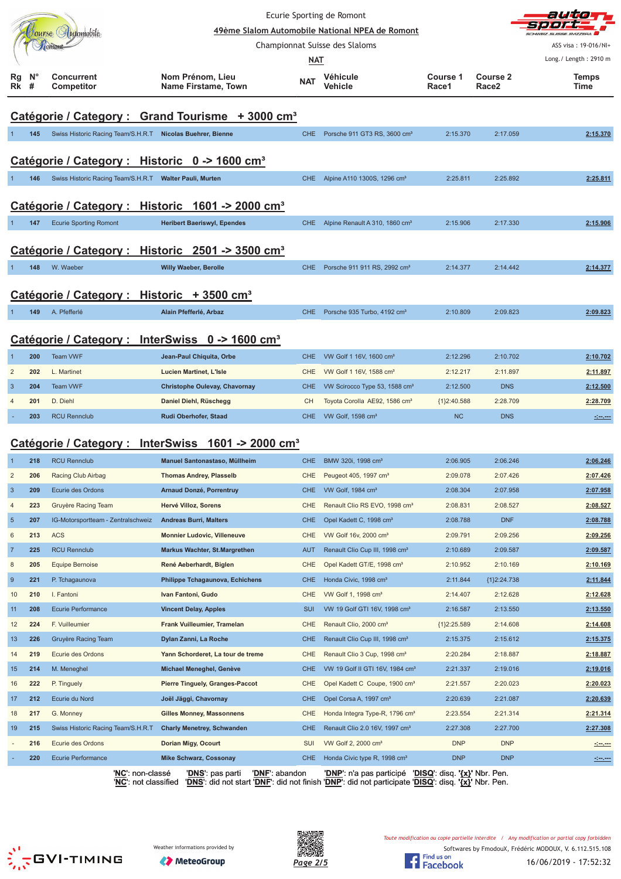| Ecurie Sporting de Romont |                                                              |                                                                |                                        |                                |                                                        |               |                 | auto                                                                                                                  |  |  |
|---------------------------|--------------------------------------------------------------|----------------------------------------------------------------|----------------------------------------|--------------------------------|--------------------------------------------------------|---------------|-----------------|-----------------------------------------------------------------------------------------------------------------------|--|--|
|                           |                                                              | Tourse Automobile                                              |                                        |                                | 49ème Slalom Automobile National NPEA de Romont        |               |                 |                                                                                                                       |  |  |
|                           |                                                              | Tomont                                                         |                                        | Championnat Suisse des Slaloms |                                                        |               |                 | ASS visa: 19-016/NI+                                                                                                  |  |  |
|                           |                                                              |                                                                |                                        | <b>NAT</b>                     |                                                        |               |                 | Long./ Length: 2910 m                                                                                                 |  |  |
| Rg                        | N°                                                           | <b>Concurrent</b>                                              | Nom Prénom, Lieu                       |                                | Véhicule                                               | Course 1      | <b>Course 2</b> | <b>Temps</b>                                                                                                          |  |  |
| Rk                        | #                                                            | <b>Competitor</b>                                              | <b>Name Firstame, Town</b>             | <b>NAT</b>                     | Vehicle                                                | Race1         | Race2           | Time                                                                                                                  |  |  |
|                           |                                                              |                                                                |                                        |                                |                                                        |               |                 |                                                                                                                       |  |  |
|                           |                                                              | Catégorie / Category : Grand Tourisme + 3000 cm <sup>3</sup>   |                                        |                                |                                                        |               |                 |                                                                                                                       |  |  |
|                           | 145                                                          | Swiss Historic Racing Team/S.H.R.T Nicolas Buehrer, Bienne     |                                        | <b>CHE</b>                     | Porsche 911 GT3 RS, 3600 cm <sup>3</sup>               | 2:15.370      | 2:17.059        | 2:15.370                                                                                                              |  |  |
|                           |                                                              |                                                                |                                        |                                |                                                        |               |                 |                                                                                                                       |  |  |
|                           |                                                              | Catégorie / Category : Historic 0 -> 1600 cm <sup>3</sup>      |                                        |                                |                                                        |               |                 |                                                                                                                       |  |  |
|                           | 146                                                          | Swiss Historic Racing Team/S.H.R.T Walter Pauli, Murten        |                                        | <b>CHE</b>                     | Alpine A110 1300S, 1296 cm <sup>3</sup>                | 2:25.811      | 2:25.892        | 2:25.811                                                                                                              |  |  |
|                           |                                                              |                                                                |                                        |                                |                                                        |               |                 |                                                                                                                       |  |  |
|                           | Catégorie / Category : Historic 1601 -> 2000 cm <sup>3</sup> |                                                                |                                        |                                |                                                        |               |                 |                                                                                                                       |  |  |
|                           | 147                                                          | <b>Ecurie Sporting Romont</b>                                  | <b>Heribert Baeriswyl, Ependes</b>     | <b>CHE</b>                     | Alpine Renault A 310, 1860 cm <sup>3</sup>             | 2:15.906      | 2:17.330        | 2:15.906                                                                                                              |  |  |
|                           |                                                              | Catégorie / Category : Historic 2501 -> 3500 cm <sup>3</sup>   |                                        |                                |                                                        |               |                 |                                                                                                                       |  |  |
|                           |                                                              |                                                                |                                        |                                |                                                        |               |                 |                                                                                                                       |  |  |
|                           | 148                                                          | W. Waeber                                                      | <b>Willy Waeber, Berolle</b>           | <b>CHE</b>                     | Porsche 911 911 RS, 2992 cm <sup>3</sup>               | 2:14.377      | 2:14.442        | 2:14.377                                                                                                              |  |  |
|                           |                                                              | Catégorie / Category :                                         | Historic $+3500$ cm <sup>3</sup>       |                                |                                                        |               |                 |                                                                                                                       |  |  |
|                           |                                                              |                                                                |                                        |                                |                                                        |               |                 |                                                                                                                       |  |  |
|                           | 149                                                          | A. Pfefferlé                                                   | Alain Pfefferlé, Arbaz                 | CHE.                           | Porsche 935 Turbo, 4192 cm <sup>3</sup>                | 2:10.809      | 2:09.823        | 2:09.823                                                                                                              |  |  |
|                           |                                                              | Catégorie / Category : InterSwiss 0 -> 1600 cm <sup>3</sup>    |                                        |                                |                                                        |               |                 |                                                                                                                       |  |  |
|                           |                                                              | Team VWF                                                       |                                        |                                | VW Golf 1 16V, 1600 cm <sup>3</sup>                    |               |                 |                                                                                                                       |  |  |
| $\overline{2}$            | 200                                                          |                                                                | Jean-Paul Chiquita, Orbe               | <b>CHE</b>                     |                                                        | 2:12.296      | 2:10.702        | 2:10.702                                                                                                              |  |  |
|                           | 202                                                          | L. Martinet                                                    | <b>Lucien Martinet, L'Isle</b>         | <b>CHE</b>                     | VW Golf 1 16V, 1588 cm <sup>3</sup>                    | 2:12.217      | 2:11.897        | 2:11.897                                                                                                              |  |  |
| 3                         | 204                                                          | <b>Team VWF</b>                                                | Christophe Oulevay, Chavornay          | <b>CHE</b>                     | VW Scirocco Type 53, 1588 cm <sup>3</sup>              | 2:12.500      | <b>DNS</b>      | 2:12.500                                                                                                              |  |  |
|                           | 201                                                          | D. Diehl                                                       | Daniel Diehl, Rüschegg                 | CH.                            | Toyota Corolla AE92, 1586 cm <sup>3</sup>              | {1}2:40.588   | 2:28.709        | 2:28.709                                                                                                              |  |  |
|                           | 203                                                          | <b>RCU Rennclub</b>                                            | Rudi Oberhofer, Staad                  | <b>CHE</b>                     | VW Golf, 1598 cm <sup>3</sup>                          | NC            | <b>DNS</b>      | <u> - 100 - 100 - 100 - 100 - 100 - 100 - 100 - 100 - 100 - 100 - 100 - 100 - 100 - 100 - 100 - 100 - 100 - 100 -</u> |  |  |
|                           |                                                              | Catégorie / Category : InterSwiss 1601 -> 2000 cm <sup>3</sup> |                                        |                                |                                                        |               |                 |                                                                                                                       |  |  |
|                           | 218                                                          | <b>RCU Rennclub</b>                                            | Manuel Santonastaso, Müllheim          | <b>CHE</b>                     | BMW 320i, 1998 cm <sup>3</sup>                         | 2:06.905      | 2:06.246        | 2:06.246                                                                                                              |  |  |
|                           | 206                                                          | Racing Club Airbag                                             | <b>Thomas Andrey, Plasselb</b>         | <b>CHE</b>                     | Peugeot 405, 1997 cm <sup>3</sup>                      | 2:09.078      | 2:07.426        | 2:07.426                                                                                                              |  |  |
| $\mathbf{3}$              | 209                                                          | Ecurie des Ordons                                              | <b>Arnaud Donzé, Porrentruy</b>        | <b>CHE</b>                     | VW Golf, 1984 cm <sup>3</sup>                          | 2:08.304      | 2:07.958        | 2:07.958                                                                                                              |  |  |
| 4                         | 223                                                          | Gruyère Racing Team                                            | Hervé Villoz, Sorens                   | CHE                            | Renault Clio RS EVO, 1998 cm <sup>3</sup>              | 2:08.831      | 2:08.527        | 2:08.527                                                                                                              |  |  |
| $\sqrt{5}$                | 207                                                          | IG-Motorsportteam - Zentralschweiz                             | <b>Andreas Burri, Malters</b>          | <b>CHE</b>                     | Opel Kadett C, 1998 cm <sup>3</sup>                    | 2:08.788      | <b>DNF</b>      | 2:08.788                                                                                                              |  |  |
| 6                         | 213                                                          | <b>ACS</b>                                                     | <b>Monnier Ludovic, Villeneuve</b>     | CHE                            | VW Golf 16v, 2000 cm <sup>3</sup>                      | 2:09.791      | 2:09.256        | 2:09.256                                                                                                              |  |  |
| $\overline{7}$            | 225                                                          | <b>RCU Rennclub</b>                                            | <b>Markus Wachter, St.Margrethen</b>   | <b>AUT</b>                     | Renault Clio Cup III, 1998 cm <sup>3</sup>             | 2:10.689      | 2:09.587        | 2:09.587                                                                                                              |  |  |
| 8                         | 205                                                          | <b>Equipe Bernoise</b>                                         | René Aeberhardt, Biglen                | CHE                            | Opel Kadett GT/E, 1998 cm <sup>3</sup>                 | 2:10.952      | 2:10.169        | 2:10.169                                                                                                              |  |  |
| 9                         | 221                                                          | P. Tchagaunova                                                 | Philippe Tchagaunova, Echichens        | <b>CHE</b>                     | Honda Civic, 1998 cm <sup>3</sup>                      | 2:11.844      | ${1}2:24.738$   | 2:11.844                                                                                                              |  |  |
| 10                        | 210                                                          | I. Fantoni                                                     | Ivan Fantoni, Gudo                     | <b>CHE</b>                     | VW Golf 1, 1998 cm <sup>3</sup>                        | 2:14.407      | 2:12.628        | 2:12.628                                                                                                              |  |  |
| 11                        | 208                                                          | <b>Ecurie Performance</b>                                      | <b>Vincent Delay, Apples</b>           | <b>SUI</b>                     | VW 19 Golf GTI 16V, 1998 cm <sup>3</sup>               | 2:16.587      | 2:13.550        | 2:13.550                                                                                                              |  |  |
| 12                        | 224                                                          | F. Vuilleumier                                                 | Frank Vuilleumier, Tramelan            | CHE                            | Renault Clio, 2000 cm <sup>3</sup>                     | ${1}2:25.589$ | 2:14.608        | 2:14.608                                                                                                              |  |  |
| 13                        | 226                                                          | Gruyère Racing Team                                            | Dylan Zanni, La Roche                  | <b>CHE</b>                     | Renault Clio Cup III, 1998 cm <sup>3</sup>             | 2:15.375      | 2:15.612        | 2:15.375                                                                                                              |  |  |
| 14                        | 219                                                          | Ecurie des Ordons                                              | Yann Schorderet, La tour de treme      | CHE                            | Renault Clio 3 Cup, 1998 cm <sup>3</sup>               | 2:20.284      | 2:18.887        | 2:18.887                                                                                                              |  |  |
| 15                        | 214                                                          | M. Meneghel                                                    | Michael Meneghel, Genève               | <b>CHE</b>                     | VW 19 Golf II GTI 16V, 1984 cm <sup>3</sup>            | 2:21.337      | 2:19.016        | 2:19.016                                                                                                              |  |  |
| 16                        | 222                                                          | P. Tinguely                                                    | <b>Pierre Tinguely, Granges-Paccot</b> | CHE                            | Opel Kadett C Coupe, 1900 cm <sup>3</sup>              | 2:21.557      | 2:20.023        | 2:20.023                                                                                                              |  |  |
| 17                        | 212                                                          | Ecurie du Nord                                                 | Joël Jäggi, Chavornay                  | <b>CHE</b>                     | Opel Corsa A, 1997 cm <sup>3</sup>                     | 2:20.639      | 2:21.087        | 2:20.639                                                                                                              |  |  |
| 18                        | 217                                                          | G. Monney                                                      | <b>Gilles Monney, Massonnens</b>       | CHE                            | Honda Integra Type-R, 1796 cm <sup>3</sup>             | 2:23.554      | 2:21.314        | 2:21.314                                                                                                              |  |  |
| 19                        | 215                                                          | Swiss Historic Racing Team/S.H.R.T                             | <b>Charly Menetrey, Schwanden</b>      | <b>CHE</b>                     | Renault Clio 2.0 16V, 1997 cm <sup>3</sup>             | 2:27.308      | 2:27.700        | 2:27.308                                                                                                              |  |  |
|                           | 216                                                          | Ecurie des Ordons                                              | Dorian Migy, Ocourt                    | <b>SUI</b>                     | VW Golf 2, 2000 cm <sup>3</sup>                        | <b>DNP</b>    | <b>DNP</b>      |                                                                                                                       |  |  |
|                           | 220                                                          | <b>Ecurie Performance</b>                                      | <b>Mike Schwarz, Cossonay</b>          | <b>CHE</b>                     | Honda Civic type R, 1998 cm <sup>3</sup>               | <b>DNP</b>    | <b>DNP</b>      | <u> 1000 - 100</u>                                                                                                    |  |  |
|                           |                                                              | ' <u>NC</u> ': non-classé                                      | ' <u>DNS</u> ': pas parti              | 'DNF': abandon                 | 'DNP': n'a pas participé 'DISQ': disq. '{x}' Nbr. Pen. |               |                 |                                                                                                                       |  |  |

'**NC**': not classified '**DNS**': did not start '**DNF**': did not finish '**DNP**': did not participate '**DISQ**': disq. **'{x}'** Nbr. Pen.





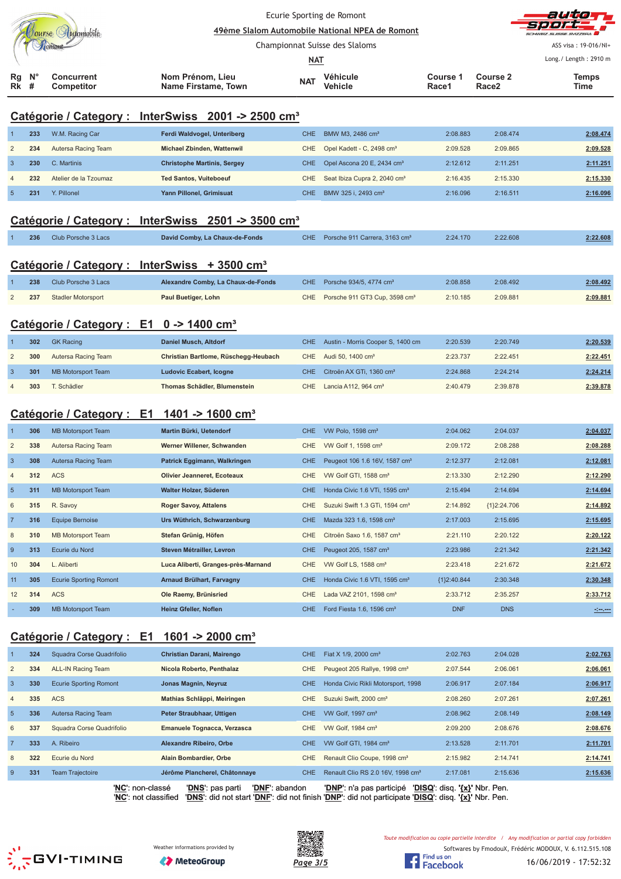|                            |  |                          |                                         | Ecurie Sporting de Romont<br>49ème Slalom Automobile National NPEA de Romont |                            |                   |                               | autom<br>sport.<br>SCHWEIZ SUISSE SVIZZERA    |
|----------------------------|--|--------------------------|-----------------------------------------|------------------------------------------------------------------------------|----------------------------|-------------------|-------------------------------|-----------------------------------------------|
|                            |  |                          |                                         | Championnat Suisse des Slaloms                                               |                            |                   |                               | ASS visa: 19-016/NI+<br>Long./ Length: 2910 m |
|                            |  |                          |                                         | <u>NAT</u>                                                                   |                            |                   |                               |                                               |
| $Rg$ $N^{\circ}$<br>$Rk$ # |  | Concurrent<br>Competitor | Nom Prénom, Lieu<br>Name Firstame, Town | <b>NAT</b>                                                                   | Véhicule<br><b>Vehicle</b> | Course 1<br>Race1 | Course 2<br>Race <sub>2</sub> | <b>Temps</b><br>Time                          |

## **Catégorie / Category : InterSwiss 2001 -> 2500 cm³**

|   | 233 | W.M. Racing Car       | Ferdi Waldvogel, Unteriberg        | CHE I | BMW M3, 2486 cm <sup>3</sup>               | 2:08.883 | 2:08.474 | 2:08.474 |
|---|-----|-----------------------|------------------------------------|-------|--------------------------------------------|----------|----------|----------|
| 2 | 234 | Autersa Racing Team   | Michael Zbinden, Wattenwil         |       | CHE Opel Kadett - C, 2498 cm <sup>3</sup>  | 2:09.528 | 2:09.865 | 2:09.528 |
| 3 | 230 | C. Martinis           | <b>Christophe Martinis, Sergey</b> |       | CHE Opel Ascona 20 E, 2434 cm <sup>3</sup> | 2:12.612 | 2:11.251 | 2:11.251 |
|   | 232 | Atelier de la Tzoumaz | <b>Ted Santos, Vuiteboeuf</b>      | CHE.  | Seat Ibiza Cupra 2, 2040 cm <sup>3</sup>   | 2:16.435 | 2:15.330 | 2:15.330 |
|   | 231 | Y. Pillonel           | Yann Pillonel, Grimisuat           | CHE.  | BMW 325 i. 2493 cm <sup>3</sup>            | 2:16.096 | 2:16.511 | 2:16.096 |

## **Catégorie / Category : InterSwiss 2501 -> 3500 cm³**

|  | 236 Club Porsche 3 Lacs | David Comby, La Chaux-de-Fonds | CHE Porsche 911 Carrera, 3163 cm <sup>3</sup> | 2:24.170 | 2:22.608 | 2:22.608 |
|--|-------------------------|--------------------------------|-----------------------------------------------|----------|----------|----------|
|  |                         |                                |                                               |          |          |          |

## **Catégorie / Category : InterSwiss + 3500 cm³**

| 238 | Club Porsche 3 Lacs       | Alexandre Comby, La Chaux-de-Fonds | CHE Porsche 934/5, 4774 cm <sup>3</sup>       | 2:08.858 | 2:08.492 | 2:08.492 |
|-----|---------------------------|------------------------------------|-----------------------------------------------|----------|----------|----------|
| 237 | <b>Stadler Motorsport</b> | Paul Buetiger, Lohn                | CHE Porsche 911 GT3 Cup, 3598 cm <sup>3</sup> | 2:10.185 | 2:09.881 | 2:09.881 |

## **Catégorie / Category : E1 0 -> 1400 cm³**

| 302 | <b>GK Racing</b>    | Daniel Musch, Altdorf                | CHE Austin - Morris Cooper S, 1400 cm    | 2:20.539 | 2:20.749 | 2:20.539 |
|-----|---------------------|--------------------------------------|------------------------------------------|----------|----------|----------|
| 300 | Autersa Racing Team | Christian Bartlome, Rüschegg-Heubach | CHE Audi 50, 1400 cm <sup>3</sup>        | 2:23.737 | 2:22.451 | 2:22.451 |
| 301 | MB Motorsport Team  | Ludovic Ecabert, Icogne              | CHE Citroën AX GTi, 1360 cm <sup>3</sup> | 2:24.868 | 2:24.214 | 2:24.214 |
| 303 | T. Schädler         | Thomas Schädler, Blumenstein         | CHE Lancia A112, 964 $\text{cm}^3$       | 2:40.479 | 2:39.878 | 2:39.878 |

## **Catégorie / Category : E1 1401 -> 1600 cm³**

|                | 306 | <b>MB Motorsport Team</b>     | Martin Bürki, Uetendorf             | <b>CHE</b> | VW Polo, 1598 cm <sup>3</sup>              | 2:04.062      | 2:04.037      | 2:04.037                                                                                                             |
|----------------|-----|-------------------------------|-------------------------------------|------------|--------------------------------------------|---------------|---------------|----------------------------------------------------------------------------------------------------------------------|
| $\overline{2}$ | 338 | Autersa Racing Team           | Werner Willener, Schwanden          | <b>CHE</b> | VW Golf 1, 1598 cm <sup>3</sup>            | 2:09.172      | 2:08.288      | 2:08.288                                                                                                             |
| $\overline{3}$ | 308 | Autersa Racing Team           | Patrick Eggimann, Walkringen        | CHE        | Peugeot 106 1.6 16V, 1587 cm <sup>3</sup>  | 2:12.377      | 2:12.081      | 2:12.081                                                                                                             |
| $\overline{4}$ | 312 | <b>ACS</b>                    | <b>Olivier Jeanneret, Ecoteaux</b>  | <b>CHE</b> | VW Golf GTI, 1588 cm <sup>3</sup>          | 2:13.330      | 2:12.290      | 2:12.290                                                                                                             |
| $5\phantom{1}$ | 311 | <b>MB Motorsport Team</b>     | Walter Holzer, Süderen              | CHE.       | Honda Civic 1.6 VTi, 1595 cm <sup>3</sup>  | 2:15.494      | 2:14.694      | 2:14.694                                                                                                             |
| 6              | 315 | R. Savoy                      | <b>Roger Savoy, Attalens</b>        | CHE.       | Suzuki Swift 1.3 GTi, 1594 cm <sup>3</sup> | 2:14.892      | ${1}2:24.706$ | 2:14.892                                                                                                             |
|                | 316 | <b>Equipe Bernoise</b>        | Urs Wüthrich, Schwarzenburg         | <b>CHE</b> | Mazda 323 1.6, 1598 cm <sup>3</sup>        | 2:17.003      | 2:15.695      | 2:15.695                                                                                                             |
| 8              | 310 | <b>MB Motorsport Team</b>     | Stefan Grünig, Höfen                | <b>CHE</b> | Citroën Saxo 1.6, 1587 cm <sup>3</sup>     | 2:21.110      | 2:20.122      | 2:20.122                                                                                                             |
| -9             | 313 | Ecurie du Nord                | Steven Métrailler, Levron           | <b>CHE</b> | Peugeot 205, 1587 cm <sup>3</sup>          | 2:23.986      | 2:21.342      | 2:21.342                                                                                                             |
| 10             | 304 | L. Aliberti                   | Luca Aliberti, Granges-près-Marnand | CHE.       | VW Golf LS, 1588 cm <sup>3</sup>           | 2:23.418      | 2:21.672      | 2:21.672                                                                                                             |
| 11             | 305 | <b>Ecurie Sporting Romont</b> | Arnaud Brülhart, Farvagny           | <b>CHE</b> | Honda Civic 1.6 VTI, 1595 cm <sup>3</sup>  | ${1}2:40.844$ | 2:30.348      | 2:30.348                                                                                                             |
| 12             | 314 | <b>ACS</b>                    | Ole Raemy, Brünisried               | CHE.       | Lada VAZ 2101, 1598 cm <sup>3</sup>        | 2:33.712      | 2:35.257      | 2:33.712                                                                                                             |
|                | 309 | <b>MB Motorsport Team</b>     | Heinz Gfeller, Noflen               | <b>CHE</b> | Ford Fiesta 1.6, 1596 cm <sup>3</sup>      | <b>DNF</b>    | <b>DNS</b>    | <u> 1999 - 1999 - 1999 - 1999 - 1999 - 1999 - 1999 - 1999 - 1999 - 1999 - 1999 - 1999 - 1999 - 1999 - 1999 - 199</u> |

## **Catégorie / Category : E1 1601 -> 2000 cm³**

|                | 324 | Squadra Corse Quadrifolio     | Christian Darani, Mairengo         | CHE.       | Fiat $X$ 1/9, 2000 cm <sup>3</sup>            | 2:02.763                      | 2:04.028 | 2:02.763 |
|----------------|-----|-------------------------------|------------------------------------|------------|-----------------------------------------------|-------------------------------|----------|----------|
| $\overline{2}$ | 334 | ALL-IN Racing Team            | Nicola Roberto, Penthalaz          | <b>CHE</b> | Peugeot 205 Rallye, 1998 cm <sup>3</sup>      | 2:07.544                      | 2:06.061 | 2:06.061 |
| 3              | 330 | <b>Ecurie Sporting Romont</b> | Jonas Magnin, Neyruz               | CHE.       | Honda Civic Rikli Motorsport, 1998            | 2:06.917                      | 2:07.184 | 2:06.917 |
| $\overline{4}$ | 335 | <b>ACS</b>                    | Mathias Schläppi, Meiringen        | CHE.       | Suzuki Swift, 2000 cm <sup>3</sup>            | 2:08.260                      | 2:07.261 | 2:07.261 |
| $5^{\circ}$    | 336 | Autersa Racing Team           | Peter Straubhaar, Uttigen          | CHE.       | VW Golf, 1997 cm <sup>3</sup>                 | 2:08.962                      | 2:08.149 | 2:08.149 |
| 6              | 337 | Squadra Corse Quadrifolio     | Emanuele Tognacca, Verzasca        | CHE.       | VW Golf, 1984 cm <sup>3</sup>                 | 2:09.200                      | 2:08.676 | 2:08.676 |
|                | 333 | A. Ribeiro                    | Alexandre Ribeiro, Orbe            | CHE.       | VW Golf GTI, 1984 cm <sup>3</sup>             | 2:13.528                      | 2:11.701 | 2:11.701 |
| 8              | 322 | Ecurie du Nord                | Alain Bombardier, Orbe             | CHE        | Renault Clio Coupe, 1998 cm <sup>3</sup>      | 2:15.982                      | 2:14.741 | 2:14.741 |
| 9              | 331 | <b>Team Trajectoire</b>       | Jérôme Plancherel, Châtonnaye      | <b>CHE</b> | Renault Clio RS 2.0 16V, 1998 cm <sup>3</sup> | 2:17.081                      | 2:15.636 | 2:15.636 |
|                |     | 'NC': non-classé              | 'DNS': pas parti<br>'DNF': abandon |            | 'DNP': n'a pas participé                      | 'DISQ': disq. '{x}' Nbr. Pen. |          |          |

'**NC**': not classified '**DNS**': did not start '**DNF**': did not finish '**DNP**': did not participate '**DISQ**': disq. **'{x}'** Nbr. Pen.





Softwares by FmodouX, Frédéric MODOUX, V. 6.112.515.108 Toute modification ou copie partielle interdite / Any modification or partial copy forbidden

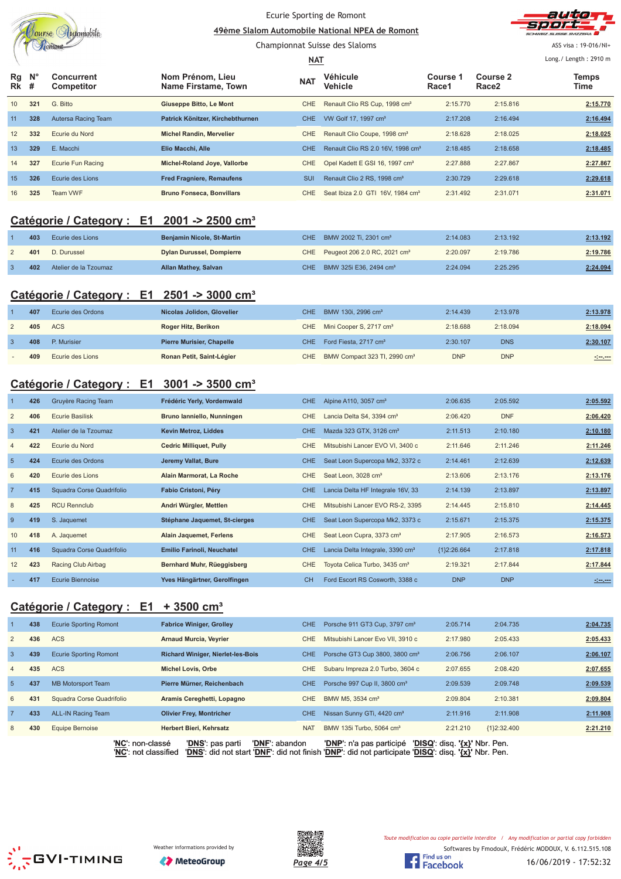|                  |            | Jourse Automobile                                      |                                                          | Ecurie Sporting de Romont<br>49ème Slalom Automobile National NPEA de Romont |                                                                          |                      |                                      |                                                                                                                      |
|------------------|------------|--------------------------------------------------------|----------------------------------------------------------|------------------------------------------------------------------------------|--------------------------------------------------------------------------|----------------------|--------------------------------------|----------------------------------------------------------------------------------------------------------------------|
|                  |            |                                                        |                                                          | Championnat Suisse des Slaloms<br><b>NAT</b>                                 |                                                                          |                      |                                      | ASS visa: 19-016/NI+<br>Long./ Length: 2910 m                                                                        |
| Rg<br>Rk         | N°<br>#    | <b>Concurrent</b><br>Competitor                        | Nom Prénom, Lieu<br>Name Firstame, Town                  | <b>NAT</b>                                                                   | Véhicule<br>Vehicle                                                      | Course 1<br>Race1    | <b>Course 2</b><br>Race <sub>2</sub> | Temps<br>Time                                                                                                        |
| 10               | 321        | G. Bitto                                               | Giuseppe Bitto, Le Mont                                  | <b>CHE</b>                                                                   | Renault Clio RS Cup, 1998 cm <sup>3</sup>                                | 2:15.770             | 2:15.816                             | 2:15.770                                                                                                             |
| 11               | 328        | Autersa Racing Team                                    | Patrick Könitzer, Kirchebthurnen                         | <b>CHE</b>                                                                   | VW Golf 17, 1997 cm <sup>3</sup>                                         | 2:17.208             | 2:16.494                             | 2:16.494                                                                                                             |
| 12               | 332        | Ecurie du Nord                                         | <b>Michel Randin, Mervelier</b>                          | <b>CHE</b>                                                                   | Renault Clio Coupe, 1998 cm <sup>3</sup>                                 | 2:18.628             | 2:18.025                             | 2:18.025                                                                                                             |
| 13               | 329        | E. Macchi                                              | Elio Macchi, Alle                                        | <b>CHE</b>                                                                   | Renault Clio RS 2.0 16V, 1998 cm <sup>3</sup>                            | 2:18.485             | 2:18.658                             | 2:18.485                                                                                                             |
| 14               | 327        | Ecurie Fun Racing                                      | Michel-Roland Joye, Vallorbe                             | <b>CHE</b>                                                                   | Opel Kadett E GSI 16, 1997 cm <sup>3</sup>                               | 2:27.888             | 2:27.867                             | 2:27.867                                                                                                             |
| 15               | 326        | Ecurie des Lions                                       | <b>Fred Fragniere, Remaufens</b>                         | SUI                                                                          | Renault Clio 2 RS, 1998 cm <sup>3</sup>                                  | 2:30.729             | 2:29.618                             | 2:29.618                                                                                                             |
| 16               | 325        | Team VWF                                               | <b>Bruno Fonseca, Bonvillars</b>                         | CHE.                                                                         | Seat Ibiza 2.0 GTI 16V, 1984 cm <sup>3</sup>                             | 2:31.492             | 2:31.071                             | 2:31.071                                                                                                             |
|                  |            | Catégorie / Category : E1 2001 -> 2500 cm <sup>3</sup> |                                                          |                                                                              |                                                                          |                      |                                      |                                                                                                                      |
| $\overline{1}$   | 403        | Ecurie des Lions                                       | Benjamin Nicole, St-Martin                               | <b>CHE</b>                                                                   | BMW 2002 Ti, 2301 cm <sup>3</sup>                                        | 2:14.083             | 2:13.192                             | 2:13.192                                                                                                             |
| $\overline{2}$   | 401        | D. Durussel                                            | <b>Dylan Durussel, Dompierre</b>                         | <b>CHE</b>                                                                   | Peugeot 206 2.0 RC, 2021 cm <sup>3</sup>                                 | 2:20.097             | 2:19.786                             | 2:19.786                                                                                                             |
| $\overline{3}$   | 402        | Atelier de la Tzoumaz                                  | <b>Allan Mathey, Salvan</b>                              | <b>CHE</b>                                                                   | BMW 325i E36, 2494 cm <sup>3</sup>                                       | 2:24.094             | 2:25.295                             | 2:24.094                                                                                                             |
|                  |            | Catégorie / Category : E1 2501 -> 3000 cm <sup>3</sup> |                                                          |                                                                              |                                                                          |                      |                                      |                                                                                                                      |
| $\mathbf{1}$     | 407        | Ecurie des Ordons                                      | Nicolas Jolidon, Glovelier                               | <b>CHE</b>                                                                   | BMW 130i, 2996 cm <sup>3</sup>                                           | 2:14.439             | 2:13.978                             | 2:13.978                                                                                                             |
| $\overline{2}$   | 405        | <b>ACS</b>                                             | Roger Hitz, Berikon                                      | <b>CHE</b>                                                                   | Mini Cooper S, 2717 cm <sup>3</sup>                                      | 2:18.688             | 2:18.094                             | 2:18.094                                                                                                             |
| $\mathbf{3}$     | 408        | P. Murisier                                            | <b>Pierre Murisier, Chapelle</b>                         | <b>CHE</b>                                                                   | Ford Fiesta, 2717 cm <sup>3</sup>                                        | 2:30.107             | <b>DNS</b>                           | 2:30.107                                                                                                             |
|                  | 409        | Ecurie des Lions                                       | Ronan Petit, Saint-Légier                                | <b>CHE</b>                                                                   | BMW Compact 323 TI, 2990 cm <sup>3</sup>                                 | <b>DNP</b>           | <b>DNP</b>                           | <u> - 100 - 100 - 100 - 100 - 100 - 100 - 100 - 100 - 100 - 100 - 100 - 100 - 100 - 100 - 100 - 100 - 100 - 100 </u> |
|                  |            | Catégorie / Category : E1 3001 -> 3500 cm <sup>3</sup> |                                                          |                                                                              |                                                                          |                      |                                      |                                                                                                                      |
| 1                | 426        | Gruyère Racing Team                                    | Frédéric Yerly, Vordemwald                               | <b>CHE</b>                                                                   | Alpine A110, 3057 cm <sup>3</sup>                                        | 2:06.635             | 2:05.592                             | 2:05.592                                                                                                             |
| $\overline{2}$   | 406        | <b>Ecurie Basilisk</b>                                 | Bruno lanniello, Nunningen                               | <b>CHE</b>                                                                   | Lancia Delta S4, 3394 cm <sup>3</sup>                                    | 2:06.420             | <b>DNF</b>                           | 2:06.420                                                                                                             |
| $\mathbf{3}$     | 421        | Atelier de la Tzoumaz                                  | Kevin Metroz, Liddes                                     | <b>CHE</b>                                                                   | Mazda 323 GTX, 3126 cm <sup>3</sup>                                      | 2:11.513             | 2:10.180                             | 2:10.180                                                                                                             |
| $\overline{4}$   | 422        | Ecurie du Nord                                         | <b>Cedric Milliquet, Pully</b>                           | <b>CHE</b>                                                                   | Mitsubishi Lancer EVO VI, 3400 c                                         | 2:11.646             | 2:11.246                             | 2:11.246                                                                                                             |
| $5\phantom{1}$   | 424        | Ecurie des Ordons                                      | Jeremy Vallat, Bure                                      | <b>CHE</b>                                                                   | Seat Leon Supercopa Mk2, 3372 c                                          | 2:14.461             | 2:12.639                             | 2:12.639                                                                                                             |
| 6                | 420        | Ecurie des Lions                                       | Alain Marmorat, La Roche                                 | <b>CHE</b>                                                                   | Seat Leon, 3028 cm <sup>3</sup>                                          | 2:13.606             | 2:13.176                             | 2:13.176                                                                                                             |
| $\overline{7}$   | 415        | Squadra Corse Quadrifolio                              | Fabio Cristoni, Péry                                     | <b>CHE</b>                                                                   | Lancia Delta HF Integrale 16V, 33                                        | 2:14.139             | 2:13.897                             | 2:13.897                                                                                                             |
| 8                | 425        | <b>RCU Rennclub</b>                                    | Andri Würgler, Mettlen                                   | CHE                                                                          | Mitsubishi Lancer EVO RS-2, 3395                                         | 2:14.445             | 2:15.810                             | 2:14.445                                                                                                             |
| $\boldsymbol{9}$ | 419<br>418 | S. Jaquemet<br>A. Jaquemet                             | Stéphane Jaquemet, St-cierges<br>Alain Jaquemet, Ferlens | <b>CHE</b><br><b>CHE</b>                                                     | Seat Leon Supercopa Mk2, 3373 c<br>Seat Leon Cupra, 3373 cm <sup>3</sup> | 2:15.671<br>2:17.905 | 2:15.375<br>2:16.573                 | 2:15.375<br>2:16.573                                                                                                 |
| 10<br>11         | 416        | Squadra Corse Quadrifolio                              | <b>Emilio Farinoli, Neuchatel</b>                        | <b>CHE</b>                                                                   | Lancia Delta Integrale, 3390 cm <sup>3</sup>                             | ${1}2:26.664$        | 2:17.818                             | 2:17.818                                                                                                             |
| 12               | 423        | Racing Club Airbag                                     | Bernhard Muhr, Rüeggisberg                               | <b>CHE</b>                                                                   | Toyota Celica Turbo, 3435 cm <sup>3</sup>                                | 2:19.321             | 2:17.844                             | 2:17.844                                                                                                             |
|                  | 417        | <b>Ecurie Biennoise</b>                                | Yves Hängärtner, Gerolfingen                             | <b>CH</b>                                                                    | Ford Escort RS Cosworth, 3388 c                                          | <b>DNP</b>           | <b>DNP</b>                           | $100 - 100$                                                                                                          |
|                  |            |                                                        |                                                          |                                                                              |                                                                          |                      |                                      |                                                                                                                      |
|                  |            | Catégorie / Category : E1                              | $+3500$ cm <sup>3</sup>                                  |                                                                              |                                                                          |                      |                                      |                                                                                                                      |
|                  | 438        | <b>Ecurie Sporting Romont</b>                          | <b>Fabrice Winiger, Grolley</b>                          | <b>CHE</b>                                                                   | Porsche 911 GT3 Cup, 3797 cm <sup>3</sup>                                | 2:05.714             | 2:04.735                             | 2:04.735                                                                                                             |
| $\overline{c}$   | 436        | <b>ACS</b>                                             | <b>Arnaud Murcia, Veyrier</b>                            | <b>CHE</b>                                                                   | Mitsubishi Lancer Evo VII, 3910 c                                        | 2:17.980             | 2:05.433                             | 2:05.433                                                                                                             |
| $\mathbf{3}$     | 439        | <b>Ecurie Sporting Romont</b>                          | <b>Richard Winiger, Nierlet-les-Bois</b>                 | <b>CHE</b>                                                                   | Porsche GT3 Cup 3800, 3800 cm <sup>3</sup>                               | 2:06.756             | 2:06.107                             | 2:06.107                                                                                                             |
| 4                | 435        | <b>ACS</b>                                             | <b>Michel Lovis, Orbe</b>                                | <b>CHE</b>                                                                   | Subaru Impreza 2.0 Turbo, 3604 c                                         | 2:07.655             | 2:08.420                             | 2:07.655                                                                                                             |
| $\overline{5}$   | 437        | <b>MB Motorsport Team</b>                              | Pierre Mürner, Reichenbach                               | <b>CHE</b>                                                                   | Porsche 997 Cup II, 3800 cm <sup>3</sup>                                 | 2:09.539             | 2:09.748                             | 2:09.539                                                                                                             |
| 6                | 431        | Squadra Corse Quadrifolio                              | Aramis Cereghetti, Lopagno                               | <b>CHE</b>                                                                   | BMW M5, 3534 cm <sup>3</sup>                                             | 2:09.804             | 2:10.381                             | 2:09.804                                                                                                             |
| -7               | 433        | ALL-IN Racing Team                                     | <b>Olivier Frey, Montricher</b>                          | <b>CHE</b>                                                                   | Nissan Sunny GTi, 4420 cm <sup>3</sup>                                   | 2:11.916             | 2:11.908                             | 2:11.908                                                                                                             |

'**NC**': non-classé '**DNS**': pas parti '**DNF**': abandon '**DNP**': n'a pas participé '**DISQ**': disq. **'{x}'** Nbr. Pen. '**NC**': not classified '**DNS**': did not start '**DNF**': did not finish '**DNP**': did not participate '**DISQ**': disq. **'{x}'** Nbr. Pen.

8 **430** Equipe Bernoise **Herbert Bieri, Kehrsatz** NAT BMW 135i Turbo, 5064 cm<sup>3</sup> 2:21.210 {1}2:32.400 **2:21.210** 





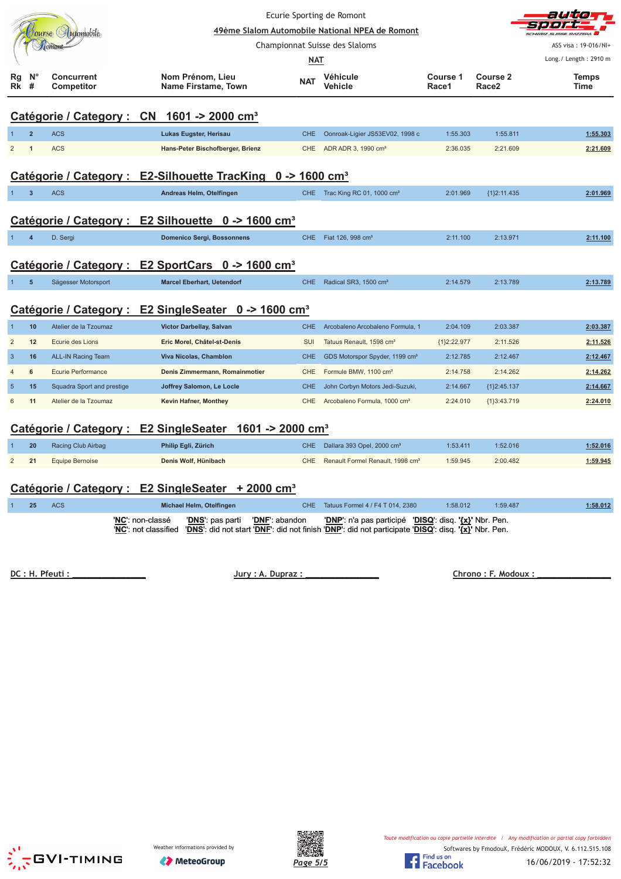|                |                  |                                 |                                                                         | Ecurie Sporting de Romont |                                                 |                   |                               |                       |  |
|----------------|------------------|---------------------------------|-------------------------------------------------------------------------|---------------------------|-------------------------------------------------|-------------------|-------------------------------|-----------------------|--|
|                |                  | Jourse Automobile               |                                                                         |                           | 49ème Slalom Automobile National NPEA de Romont |                   |                               |                       |  |
|                |                  |                                 |                                                                         |                           | Championnat Suisse des Slaloms                  |                   |                               | ASS visa: 19-016/NI+  |  |
|                |                  |                                 |                                                                         | <b>NAT</b>                |                                                 |                   |                               | Long./ Length: 2910 m |  |
| Rg<br>Rk       | $N^{\circ}$<br># | <b>Concurrent</b><br>Competitor | Nom Prénom, Lieu<br>Name Firstame, Town                                 | <b>NAT</b>                | Véhicule<br>Vehicle                             | Course 1<br>Race1 | Course 2<br>Race <sub>2</sub> | Temps<br>Time         |  |
|                |                  |                                 | Catégorie / Category : CN 1601 -> 2000 cm <sup>3</sup>                  |                           |                                                 |                   |                               |                       |  |
|                | $\overline{2}$   | <b>ACS</b>                      | Lukas Eugster, Herisau                                                  | <b>CHE</b>                | Oonroak-Ligier JS53EV02, 1998 c                 | 1:55.303          | 1:55.811                      | 1:55.303              |  |
| $\overline{2}$ | $\mathbf{1}$     | <b>ACS</b>                      | Hans-Peter Bischofberger, Brienz                                        | <b>CHE</b>                | ADR ADR 3, 1990 cm <sup>3</sup>                 | 2:36.035          | 2:21.609                      | 2:21.609              |  |
|                |                  |                                 | Catégorie / Category : E2-Silhouette TracKing 0 -> 1600 cm <sup>3</sup> |                           |                                                 |                   |                               |                       |  |
| $\mathbf{1}$   | $\overline{3}$   | <b>ACS</b>                      | Andreas Helm, Otelfingen                                                | CHE.                      | Trac King RC 01, 1000 cm <sup>3</sup>           | 2:01.969          | {1}2:11.435                   | 2:01.969              |  |
|                |                  |                                 | Catégorie / Category : E2 Silhouette 0 -> 1600 cm <sup>3</sup>          |                           |                                                 |                   |                               |                       |  |
|                | $\overline{4}$   | D. Sergi                        | <b>Domenico Sergi, Bossonnens</b>                                       | <b>CHE</b>                | Fiat 126, 998 cm <sup>3</sup>                   | 2:11.100          | 2:13.971                      | 2:11.100              |  |
|                |                  |                                 | Catégorie / Category : E2 SportCars 0 -> 1600 cm <sup>3</sup>           |                           |                                                 |                   |                               |                       |  |
| $\mathbf{1}$   | $5\phantom{1}$   | Sägesser Motorsport             | <b>Marcel Eberhart, Uetendorf</b>                                       | <b>CHE</b>                | Radical SR3, 1500 cm <sup>3</sup>               | 2:14.579          | 2:13.789                      | 2:13.789              |  |
|                |                  |                                 | Catégorie / Category : E2 SingleSeater 0 -> 1600 cm <sup>3</sup>        |                           |                                                 |                   |                               |                       |  |
| $\mathbf{1}$   | 10               | Atelier de la Tzoumaz           | Victor Darbellay, Salvan                                                | <b>CHE</b>                | Arcobaleno Arcobaleno Formula, 1                | 2:04.109          | 2:03.387                      | 2:03.387              |  |
| $\overline{c}$ | 12               | Ecurie des Lions                | Eric Morel, Châtel-st-Denis                                             | SUI                       | Tatuus Renault, 1598 cm <sup>3</sup>            | {1}2:22.977       | 2:11.526                      | 2:11.526              |  |
| $\mathbf{3}$   | 16               | <b>ALL-IN Racing Team</b>       | Viva Nicolas, Chamblon                                                  | <b>CHE</b>                | GDS Motorspor Spyder, 1199 cm <sup>3</sup>      | 2:12.785          | 2:12.467                      | 2:12.467              |  |
| $\overline{4}$ | 6                | <b>Ecurie Performance</b>       | Denis Zimmermann, Romainmotier                                          | <b>CHE</b>                | Formule BMW, 1100 cm <sup>3</sup>               | 2:14.758          | 2:14.262                      | 2:14.262              |  |
| $\overline{5}$ | 15               | Squadra Sport and prestige      | Joffrey Salomon, Le Locle                                               | <b>CHE</b>                | John Corbyn Motors Jedi-Suzuki,                 | 2:14.667          | ${1}2:45.137$                 | 2:14.667              |  |
| 6              | 11               | Atelier de la Tzoumaz           | Kevin Hafner, Monthey                                                   | <b>CHE</b>                | Arcobaleno Formula, 1000 cm <sup>3</sup>        | 2:24.010          | {1}3:43.719                   | 2:24.010              |  |
|                |                  |                                 | Catégorie / Category : E2 SingleSeater 1601 -> 2000 cm <sup>3</sup>     |                           |                                                 |                   |                               |                       |  |
|                | 20               | Racing Club Airbag              | Philip Egli, Zürich                                                     | <b>CHE</b>                | Dallara 393 Opel, 2000 cm <sup>3</sup>          | 1:53.411          | 1:52.016                      | 1:52.016              |  |
| $\overline{2}$ | 21               | <b>Equipe Bernoise</b>          | Denis Wolf, Hünibach                                                    | <b>CHE</b>                | Renault Formel Renault, 1998 cm <sup>3</sup>    | 1:59.945          | 2:00.482                      | 1:59.945              |  |

# **Catégorie / Category : E2 SingleSeater + 2000 cm³**

|  | <b>ACS</b> | Michael Helm, Otelfingen                                                                                                                                                                      | CHE Tatuus Formel 4 / F4 T 014, 2380                   | 1:58.012 | 1:59.487 | 1:58.012 |
|--|------------|-----------------------------------------------------------------------------------------------------------------------------------------------------------------------------------------------|--------------------------------------------------------|----------|----------|----------|
|  |            | <b>'DNS':</b> pas parti <b>'DNF':</b> abandon<br>'NC': non-classé<br>'NC': not classified 'DNS': did not start 'DNF': did not finish 'DNP': did not participate 'DISQ': disq. '{x}' Nbr. Pen. | 'DNP': n'a pas participé 'DISQ': disq. '{x}' Nbr. Pen. |          |          |          |

 **! " #** 

 **\$% &**





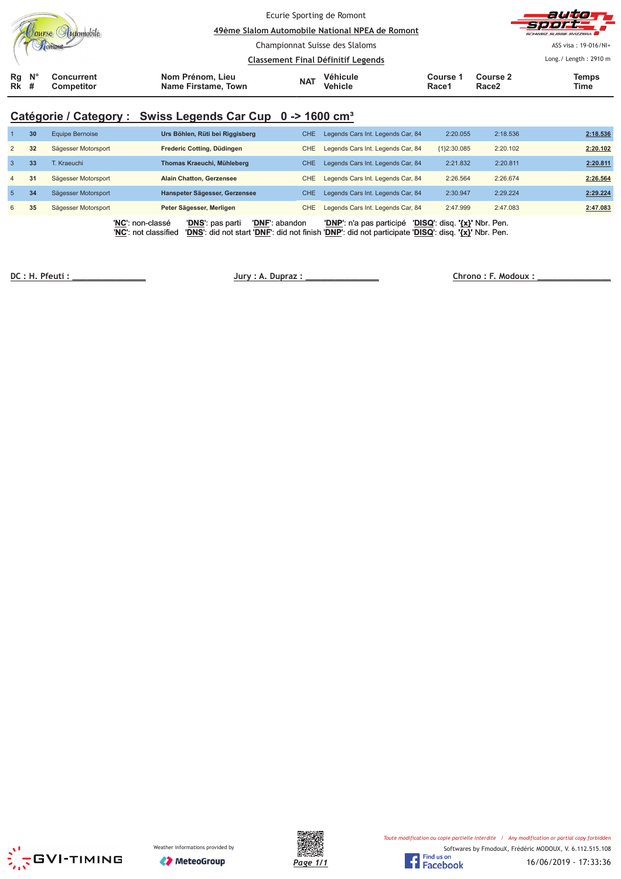|                   |                    |                                 | Ecurie Sporting de Romont<br>49ème Slalom Automobile National NPEA de Romont |            |                                   |                   |                               | autor<br><b>Sport</b><br>SCHWEIZ SUISSE SVIZZERA |
|-------------------|--------------------|---------------------------------|------------------------------------------------------------------------------|------------|-----------------------------------|-------------------|-------------------------------|--------------------------------------------------|
|                   |                    |                                 | Championnat Suisse des Slaloms<br><b>Classement Final Définitif Legends</b>  |            |                                   |                   |                               | ASS visa: 19-016/NI+<br>Long./ Length: 2910 m    |
| Rg<br><b>Rk</b> # | $\mathsf{N}^\circ$ | <b>Concurrent</b><br>Competitor | Nom Prénom, Lieu<br>Name Firstame, Town                                      | <b>NAT</b> | <b>Véhicule</b><br><b>Vehicle</b> | Course 1<br>Race1 | Course 2<br>Race <sub>2</sub> | Temps<br>Time                                    |

# **Catégorie / Category : Swiss Legends Car Cup 0 -> 1600 cm³**

|                | 30 | Equipe Bernoise     | Urs Böhlen, Rüti bei Riggisberg                                                                                                                                                       | CHE.       | Legends Cars Int. Legends Car, 84 | 2:20.055                      | 2:18.536 | 2:18.536 |
|----------------|----|---------------------|---------------------------------------------------------------------------------------------------------------------------------------------------------------------------------------|------------|-----------------------------------|-------------------------------|----------|----------|
| 2              | 32 | Sägesser Motorsport | Frederic Cotting, Düdingen                                                                                                                                                            | <b>CHE</b> | Legends Cars Int. Legends Car, 84 | ${1}2:30.085$                 | 2:20.102 | 2:20.102 |
| $\mathbf{3}$   | 33 | T. Kraeuchi         | Thomas Kraeuchi, Mühleberg                                                                                                                                                            | CHE.       | Legends Cars Int. Legends Car, 84 | 2:21.832                      | 2:20.811 | 2:20.811 |
| $\overline{4}$ | 31 | Sägesser Motorsport | <b>Alain Chatton, Gerzensee</b>                                                                                                                                                       | <b>CHE</b> | Legends Cars Int. Legends Car, 84 | 2:26.564                      | 2:26.674 | 2:26.564 |
| 5              | 34 | Sägesser Motorsport | Hanspeter Sägesser, Gerzensee                                                                                                                                                         | CHE.       | Legends Cars Int. Legends Car, 84 | 2:30.947                      | 2:29.224 | 2:29.224 |
| 6              | 35 | Sägesser Motorsport | Peter Sägesser, Merligen                                                                                                                                                              | <b>CHE</b> | Legends Cars Int. Legends Car, 84 | 2:47.999                      | 2:47.083 | 2:47.083 |
|                |    |                     | 'DNF': abandon<br>'NC': non-classé<br>'DNS': pas parti<br>'DNS': did not start 'DNF': did not finish 'DNP': did not participate 'DISQ': disq. '{x}' Nbr. Pen.<br>'NC': not classified |            | 'DNP': n'a pas participé          | 'DISQ': disq. '{x}' Nbr. Pen. |          |          |

 **!!!!!!!!!!!!!!! "#\$ %# &!!!!!!!!!!!!!!! '#** 

 **( )!!!!!!!!!!!!!!!**





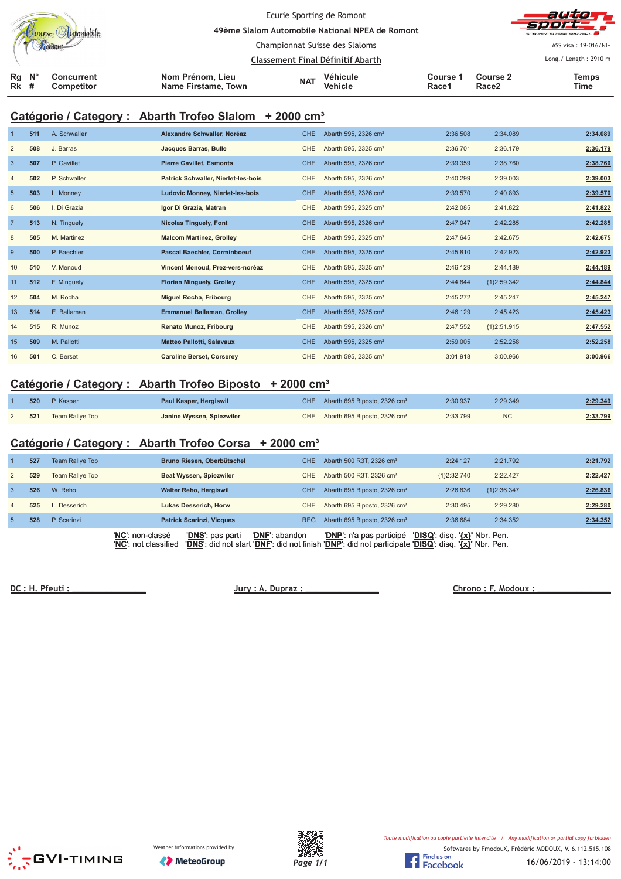|                            |  |                          |                                         | Ecurie Sporting de Romont<br>49ème Slalom Automobile National NPEA de Romont |                            |                   |                               | autorr<br><b>Sport</b><br>SCHWEIZ SUISSE SVIZZEDA |
|----------------------------|--|--------------------------|-----------------------------------------|------------------------------------------------------------------------------|----------------------------|-------------------|-------------------------------|---------------------------------------------------|
|                            |  |                          |                                         | Championnat Suisse des Slaloms                                               |                            |                   |                               | ASS visa: 19-016/NI+                              |
|                            |  |                          |                                         | Classement Final Définitif Abarth                                            |                            |                   |                               | Long./ Length: 2910 m                             |
| $Rg$ $N^{\circ}$<br>$Rk$ # |  | Concurrent<br>Competitor | Nom Prénom, Lieu<br>Name Firstame, Town | <b>NAT</b>                                                                   | <b>Véhicule</b><br>Vehicle | Course 1<br>Race1 | Course 2<br>Race <sub>2</sub> | <b>Temps</b><br>Time                              |

# **Catégorie / Category : Abarth Trofeo Slalom + 2000 cm³**

|                | 511 | A. Schwaller | Alexandre Schwaller, Noréaz             | <b>CHE</b> | Abarth 595, 2326 cm <sup>3</sup> | 2:36.508 | 2:34.089      | 2:34.089 |
|----------------|-----|--------------|-----------------------------------------|------------|----------------------------------|----------|---------------|----------|
| $\overline{2}$ | 508 | J. Barras    | Jacques Barras, Bulle                   | <b>CHE</b> | Abarth 595, 2325 cm <sup>3</sup> | 2:36.701 | 2:36.179      | 2:36.179 |
| $\overline{3}$ | 507 | P. Gavillet  | <b>Pierre Gavillet, Esmonts</b>         | <b>CHE</b> | Abarth 595, 2326 cm <sup>3</sup> | 2:39.359 | 2:38.760      | 2:38.760 |
| $\overline{4}$ | 502 | P. Schwaller | Patrick Schwaller, Nierlet-les-bois     | <b>CHE</b> | Abarth 595, 2326 cm <sup>3</sup> | 2:40.299 | 2:39.003      | 2:39.003 |
| $5\phantom{1}$ | 503 | L. Monney    | <b>Ludovic Monney, Nierlet-les-bois</b> | <b>CHE</b> | Abarth 595, 2326 cm <sup>3</sup> | 2:39.570 | 2:40.893      | 2:39.570 |
| 6              | 506 | I. Di Grazia | Igor Di Grazia, Matran                  | <b>CHE</b> | Abarth 595, 2325 cm <sup>3</sup> | 2:42.085 | 2:41.822      | 2:41.822 |
| $\overline{7}$ | 513 | N. Tinguely  | <b>Nicolas Tinguely, Font</b>           | <b>CHE</b> | Abarth 595, 2326 cm <sup>3</sup> | 2:47.047 | 2:42.285      | 2:42.285 |
| 8              | 505 | M. Martinez  | <b>Malcom Martinez, Grolley</b>         | <b>CHE</b> | Abarth 595, 2325 cm <sup>3</sup> | 2:47.645 | 2:42.675      | 2:42.675 |
| 9              | 500 | P. Baechler  | <b>Pascal Baechler, Corminboeuf</b>     | <b>CHE</b> | Abarth 595, 2325 cm <sup>3</sup> | 2:45.810 | 2:42.923      | 2:42.923 |
| 10             | 510 | V. Menoud    | Vincent Menoud, Prez-vers-noréaz        | <b>CHE</b> | Abarth 595, 2325 cm <sup>3</sup> | 2:46.129 | 2:44.189      | 2:44.189 |
| 11             | 512 | F. Minguely  | <b>Florian Minguely, Grolley</b>        | <b>CHE</b> | Abarth 595, 2325 cm <sup>3</sup> | 2:44.844 | ${1}2:59.342$ | 2:44.844 |
| 12             | 504 | M. Rocha     | <b>Miguel Rocha, Fribourg</b>           | <b>CHE</b> | Abarth 595, 2325 cm <sup>3</sup> | 2:45.272 | 2:45.247      | 2:45.247 |
| 13             | 514 | E. Ballaman  | <b>Emmanuel Ballaman, Grolley</b>       | <b>CHE</b> | Abarth 595, 2325 cm <sup>3</sup> | 2:46.129 | 2:45.423      | 2:45.423 |
| 14             | 515 | R. Munoz     | <b>Renato Munoz, Fribourg</b>           | <b>CHE</b> | Abarth 595, 2326 cm <sup>3</sup> | 2:47.552 | ${1}2:51.915$ | 2:47.552 |
| 15             | 509 | M. Pallotti  | <b>Matteo Pallotti, Salavaux</b>        | <b>CHE</b> | Abarth 595, 2325 cm <sup>3</sup> | 2:59.005 | 2:52.258      | 2:52.258 |
| 16             | 501 | C. Berset    | <b>Caroline Berset, Corserey</b>        | <b>CHE</b> | Abarth 595, 2325 cm <sup>3</sup> | 3:01.918 | 3:00.966      | 3:00.966 |

## **Catégorie / Category : Abarth Trofeo Biposto + 2000 cm³**

| 520 | P. Kasper              | Paul Kasper, Hergiswil    | CHE Abarth 695 Biposto, 2326 cm <sup>3</sup> | 2:30.937 | 2:29.349  | 2:29.349 |
|-----|------------------------|---------------------------|----------------------------------------------|----------|-----------|----------|
| 521 | <b>Team Rallye Top</b> | Janine Wyssen, Spiezwiler | CHE Abarth 695 Biposto, 2326 cm <sup>3</sup> | 2:33.799 | <b>NC</b> | 2:33.799 |

## **Catégorie / Category : Abarth Trofeo Corsa + 2000 cm³**

|                | 527 | Team Rallye Top | Bruno Riesen, Oberbütschel                                   | CHE.           | Abarth 500 R3T, 2326 cm <sup>3</sup>                                                                                            | 2:24.127                      | 2:21.792    | 2:21.792 |
|----------------|-----|-----------------|--------------------------------------------------------------|----------------|---------------------------------------------------------------------------------------------------------------------------------|-------------------------------|-------------|----------|
| 2              | 529 | Team Rallye Top | Beat Wyssen, Spiezwiler                                      | CHE            | Abarth 500 R3T, 2326 cm <sup>3</sup>                                                                                            | ${1}2:32.740$                 | 2:22.427    | 2:22.427 |
| $\mathbf{3}$   | 526 | W. Reho         | <b>Walter Reho, Hergiswil</b>                                | CHE.           | Abarth 695 Biposto, 2326 cm <sup>3</sup>                                                                                        | 2:26.836                      | {1}2:36.347 | 2:26.836 |
| $\overline{4}$ | 525 | Desserich       | Lukas Desserich, Horw                                        | CHE.           | Abarth 695 Biposto, 2326 cm <sup>3</sup>                                                                                        | 2:30.495                      | 2:29.280    | 2:29.280 |
| -5             | 528 | P. Scarinzi     | <b>Patrick Scarinzi, Vicques</b>                             | <b>REG</b>     | Abarth 695 Biposto, 2326 cm <sup>3</sup>                                                                                        | 2:36.684                      | 2:34.352    | 2:34.352 |
|                |     |                 | 'NC': non-classé<br>'DNS': pas parti<br>'NC': not classified | 'DNF': abandon | 'DNP': n'a pas participé<br>'DNS': did not start 'DNF': did not finish 'DNP': did not participate 'DISQ': disq. '{x}' Nbr. Pen. | 'DISQ': disq. '{x}' Nbr. Pen. |             |          |

**DC: H. Pfeuti:** <u>Jury: A. Dupraz:</u>

 **& '!!!!!!!!!!!!!!!**







16/06/2019 - 13:14:00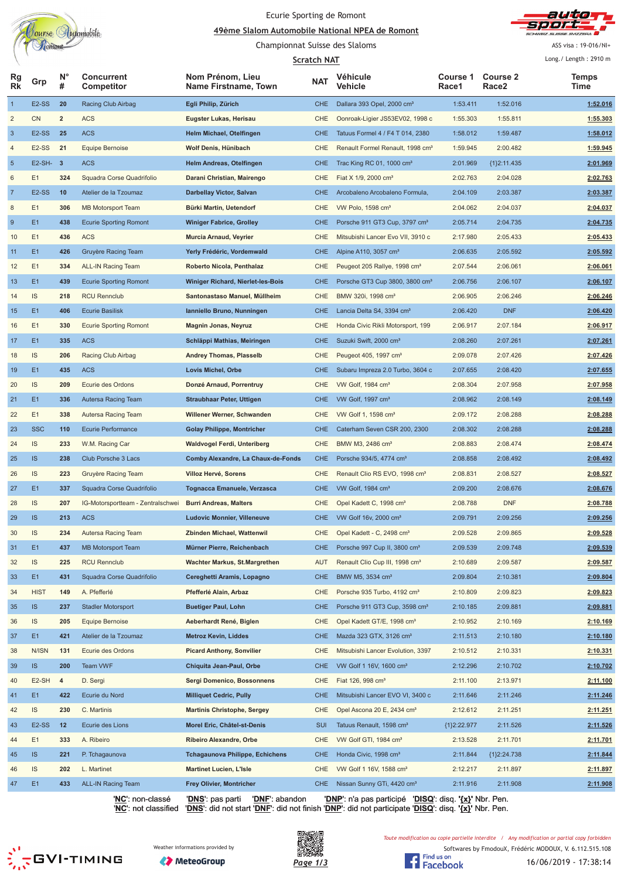

## Ecurie Sporting de Romont

<u>A9ème Slalom Automobile National NPEA de Romont</u> Championnat Suisse des Slaloms



ASS visa: 19-016/NI+

| <b>Scratch NAT</b> |                    |                         |                                   |                                          |            |                                              |                   | Long./ Length: 2910 m                |               |
|--------------------|--------------------|-------------------------|-----------------------------------|------------------------------------------|------------|----------------------------------------------|-------------------|--------------------------------------|---------------|
| Rg<br><b>Rk</b>    | Grp                | $N^{\circ}$<br>#        | <b>Concurrent</b><br>Competitor   | Nom Prénom, Lieu<br>Name Firstname, Town | <b>NAT</b> | Véhicule<br>Vehicle                          | Course 1<br>Race1 | <b>Course 2</b><br>Race <sub>2</sub> | Temps<br>Time |
| $\overline{1}$     | E <sub>2</sub> -SS | 20                      | Racing Club Airbag                | Egli Philip, Zürich                      | <b>CHE</b> | Dallara 393 Opel, 2000 cm <sup>3</sup>       | 1:53.411          | 1:52.016                             | 1:52.016      |
| $\sqrt{2}$         | <b>CN</b>          | $\mathbf 2$             | <b>ACS</b>                        | Eugster Lukas, Herisau                   | CHE        | Oonroak-Ligier JS53EV02, 1998 c              | 1:55.303          | 1:55.811                             | 1:55.303      |
| $\mathbf{3}$       | $E2-SS$            | 25                      | <b>ACS</b>                        | Helm Michael, Otelfingen                 | <b>CHE</b> | Tatuus Formel 4 / F4 T 014, 2380             | 1:58.012          | 1:59.487                             | 1:58.012      |
| $\overline{4}$     | E <sub>2</sub> -SS | 21                      | <b>Equipe Bernoise</b>            | Wolf Denis, Hünibach                     | CHE        | Renault Formel Renault, 1998 cm <sup>3</sup> | 1:59.945          | 2:00.482                             | 1:59.945      |
| $\sqrt{5}$         | $E2-SH-3$          |                         | <b>ACS</b>                        | Helm Andreas, Otelfingen                 | <b>CHE</b> | Trac King RC 01, 1000 cm <sup>3</sup>        | 2:01.969          | ${1}2:11.435$                        | 2:01.969      |
| 6                  | E1                 | 324                     | Squadra Corse Quadrifolio         | Darani Christian, Mairengo               | CHE        | Fiat X 1/9, 2000 cm <sup>3</sup>             | 2:02.763          | 2:04.028                             | 2:02.763      |
| $\overline{7}$     | E <sub>2</sub> -SS | 10                      | Atelier de la Tzoumaz             | Darbellay Victor, Salvan                 | <b>CHE</b> | Arcobaleno Arcobaleno Formula,               | 2:04.109          | 2:03.387                             | 2:03.387      |
| 8                  | E1                 | 306                     | <b>MB Motorsport Team</b>         | Bürki Martin, Uetendorf                  | CHE        | VW Polo, 1598 cm <sup>3</sup>                | 2:04.062          | 2:04.037                             | 2:04.037      |
| 9                  | E <sub>1</sub>     | 438                     | <b>Ecurie Sporting Romont</b>     | <b>Winiger Fabrice, Grolley</b>          | <b>CHE</b> | Porsche 911 GT3 Cup, 3797 cm <sup>3</sup>    | 2:05.714          | 2:04.735                             | 2:04.735      |
| 10                 | E1                 | 436                     | <b>ACS</b>                        | Murcia Arnaud, Veyrier                   | CHE        | Mitsubishi Lancer Evo VII, 3910 c            | 2:17.980          | 2:05.433                             | 2:05.433      |
| 11                 | E1                 | 426                     | Gruyère Racing Team               | Yerly Frédéric, Vordemwald               | <b>CHE</b> | Alpine A110, 3057 cm <sup>3</sup>            | 2:06.635          | 2:05.592                             | 2:05.592      |
| 12                 | E1                 | 334                     | <b>ALL-IN Racing Team</b>         | Roberto Nicola, Penthalaz                | CHE        | Peugeot 205 Rallye, 1998 cm <sup>3</sup>     | 2:07.544          | 2:06.061                             | 2:06.061      |
| 13                 | E1                 | 439                     | <b>Ecurie Sporting Romont</b>     | Winiger Richard, Nierlet-les-Bois        | <b>CHE</b> | Porsche GT3 Cup 3800, 3800 cm <sup>3</sup>   | 2:06.756          | 2:06.107                             | 2:06.107      |
| 14                 | <b>IS</b>          | 218                     | <b>RCU Rennclub</b>               | Santonastaso Manuel, Müllheim            | CHE        | BMW 320i, 1998 cm <sup>3</sup>               | 2:06.905          | 2:06.246                             | 2:06.246      |
| 15                 | E1                 | 406                     | <b>Ecurie Basilisk</b>            | Ianniello Bruno, Nunningen               | <b>CHE</b> | Lancia Delta S4, 3394 cm <sup>3</sup>        | 2:06.420          | <b>DNF</b>                           | 2:06.420      |
| 16                 | E1                 | 330                     | <b>Ecurie Sporting Romont</b>     | Magnin Jonas, Neyruz                     | CHE        | Honda Civic Rikli Motorsport, 199            | 2:06.917          | 2:07.184                             | 2:06.917      |
| 17                 | E1                 | 335                     | <b>ACS</b>                        | Schläppi Mathias, Meiringen              | <b>CHE</b> | Suzuki Swift, 2000 cm <sup>3</sup>           | 2:08.260          | 2:07.261                             | 2:07.261      |
| 18                 | IS                 | 206                     | Racing Club Airbag                | <b>Andrey Thomas, Plasselb</b>           | CHE        | Peugeot 405, 1997 cm <sup>3</sup>            | 2:09.078          | 2:07.426                             | 2:07.426      |
| 19                 | E1                 | 435                     | <b>ACS</b>                        | Lovis Michel, Orbe                       | <b>CHE</b> | Subaru Impreza 2.0 Turbo, 3604 c             | 2:07.655          | 2:08.420                             | 2:07.655      |
| 20                 | IS                 | 209                     | Ecurie des Ordons                 | Donzé Arnaud, Porrentruy                 | CHE        | VW Golf, $1984 \text{ cm}^3$                 | 2:08.304          | 2:07.958                             | 2:07.958      |
| 21                 | E <sub>1</sub>     | 336                     | Autersa Racing Team               | <b>Straubhaar Peter, Uttigen</b>         | <b>CHE</b> | VW Golf, 1997 cm <sup>3</sup>                | 2:08.962          | 2:08.149                             | 2:08.149      |
| 22                 | E1                 | 338                     | Autersa Racing Team               | Willener Werner, Schwanden               | CHE        | VW Golf 1, 1598 cm <sup>3</sup>              | 2:09.172          | 2:08.288                             | 2:08.288      |
|                    | <b>SSC</b>         | 110                     | <b>Ecurie Performance</b>         |                                          | <b>CHE</b> | Caterham Seven CSR 200, 2300                 | 2:08.302          | 2:08.288                             |               |
| 23                 | <b>IS</b>          |                         |                                   | <b>Golay Philippe, Montricher</b>        |            |                                              |                   |                                      | 2:08.288      |
| 24                 |                    | 233                     | W.M. Racing Car                   | Waldvogel Ferdi, Unteriberg              | CHE        | BMW M3, 2486 cm <sup>3</sup>                 | 2:08.883          | 2:08.474                             | 2:08.474      |
| 25                 | IS                 | 238                     | Club Porsche 3 Lacs               | Comby Alexandre, La Chaux-de-Fonds       | <b>CHE</b> | Porsche 934/5, 4774 cm <sup>3</sup>          | 2:08.858          | 2:08.492                             | 2:08.492      |
| 26                 | IS                 | 223                     | Gruyère Racing Team               | Villoz Hervé, Sorens                     | CHE        | Renault Clio RS EVO, 1998 cm <sup>3</sup>    | 2:08.831          | 2:08.527                             | 2:08.527      |
| 27                 | E <sub>1</sub>     | 337                     | Squadra Corse Quadrifolio         | Tognacca Emanuele, Verzasca              | <b>CHE</b> | VW Golf, 1984 cm <sup>3</sup>                | 2:09.200          | 2:08.676                             | 2:08.676      |
| 28                 | <b>IS</b>          | 207                     | IG-Motorsportteam - Zentralschwei | <b>Burri Andreas, Malters</b>            | CHE        | Opel Kadett C, 1998 cm <sup>3</sup>          | 2:08.788          | <b>DNF</b>                           | 2:08.788      |
| 29                 | <b>IS</b>          | 213                     | <b>ACS</b>                        | <b>Ludovic Monnier, Villeneuve</b>       | <b>CHE</b> | VW Golf 16v, 2000 cm <sup>3</sup>            | 2:09.791          | 2:09.256                             | 2:09.256      |
| 30                 | <b>IS</b>          | 234                     | Autersa Racing Team               | Zbinden Michael, Wattenwil               | <b>CHE</b> | Opel Kadett - C, 2498 cm <sup>3</sup>        | 2:09.528          | 2:09.865                             | 2:09.528      |
| 31                 | E1                 | 437                     | <b>MB Motorsport Team</b>         | Mürner Pierre, Reichenbach               | <b>CHE</b> | Porsche 997 Cup II, 3800 cm <sup>3</sup>     | 2:09.539          | 2:09.748                             | 2:09.539      |
| 32                 | <b>IS</b>          | 225                     | <b>RCU Rennclub</b>               | Wachter Markus, St.Margrethen            | <b>AUT</b> | Renault Clio Cup III, 1998 cm <sup>3</sup>   | 2:10.689          | 2:09.587                             | 2:09.587      |
| 33                 | E1                 | 431                     | Squadra Corse Quadrifolio         | Cereghetti Aramis, Lopagno               | <b>CHE</b> | BMW M5, 3534 cm <sup>3</sup>                 | 2:09.804          | 2:10.381                             | 2:09.804      |
| 34                 | <b>HIST</b>        | 149                     | A. Pfefferlé                      | Pfefferlé Alain, Arbaz                   | CHE        | Porsche 935 Turbo, 4192 cm <sup>3</sup>      | 2:10.809          | 2:09.823                             | 2:09.823      |
| 35                 | IS                 | 237                     | <b>Stadler Motorsport</b>         | <b>Buetiger Paul, Lohn</b>               | <b>CHE</b> | Porsche 911 GT3 Cup, 3598 cm <sup>3</sup>    | 2:10.185          | 2:09.881                             | 2:09.881      |
| 36                 | <b>IS</b>          | 205                     | <b>Equipe Bernoise</b>            | Aeberhardt René, Biglen                  | CHE        | Opel Kadett GT/E, 1998 cm <sup>3</sup>       | 2:10.952          | 2:10.169                             | 2:10.169      |
| 37                 | E1                 | 421                     | Atelier de la Tzoumaz             | <b>Metroz Kevin, Liddes</b>              | <b>CHE</b> | Mazda 323 GTX, 3126 cm <sup>3</sup>          | 2:11.513          | 2:10.180                             | 2:10.180      |
| 38                 | N/ISN              | 131                     | Ecurie des Ordons                 | <b>Picard Anthony, Sonvilier</b>         | CHE        | Mitsubishi Lancer Evolution, 3397            | 2:10.512          | 2:10.331                             | 2:10.331      |
| 39                 | IS                 | 200                     | Team VWF                          | Chiquita Jean-Paul, Orbe                 | <b>CHE</b> | VW Golf 1 16V, 1600 cm <sup>3</sup>          | 2:12.296          | 2:10.702                             | 2:10.702      |
| 40                 | E2-SH              | $\overline{\mathbf{4}}$ | D. Sergi                          | Sergi Domenico, Bossonnens               | CHE        | Fiat 126, 998 cm <sup>3</sup>                | 2:11.100          | 2:13.971                             | 2:11.100      |
| 41                 | E <sub>1</sub>     | 422                     | Ecurie du Nord                    | <b>Milliquet Cedric, Pully</b>           | <b>CHE</b> | Mitsubishi Lancer EVO VI, 3400 c             | 2:11.646          | 2:11.246                             | 2:11.246      |
| 42                 | <b>IS</b>          | 230                     | C. Martinis                       | <b>Martinis Christophe, Sergey</b>       | CHE        | Opel Ascona 20 E, 2434 cm <sup>3</sup>       | 2:12.612          | 2:11.251                             | 2:11.251      |
| 43                 | E <sub>2</sub> -SS | 12                      | Ecurie des Lions                  | Morel Eric, Châtel-st-Denis              | <b>SUI</b> | Tatuus Renault, 1598 cm <sup>3</sup>         | ${1}2:22.977$     | 2:11.526                             | 2:11.526      |
| 44                 | E1                 | 333                     | A. Ribeiro                        | <b>Ribeiro Alexandre, Orbe</b>           | CHE        | VW Golf GTI, 1984 cm <sup>3</sup>            | 2:13.528          | 2:11.701                             | 2:11.701      |
| 45                 | IS                 | 221                     | P. Tchagaunova                    | <b>Tchagaunova Philippe, Echichens</b>   | <b>CHE</b> | Honda Civic, 1998 cm <sup>3</sup>            | 2:11.844          | ${1}2:24.738$                        | 2:11.844      |
| 46                 | <b>IS</b>          | 202                     | L. Martinet                       | <b>Martinet Lucien, L'Isle</b>           | CHE        | VW Golf 1 16V, 1588 cm <sup>3</sup>          | 2:12.217          | 2:11.897                             | 2:11.897      |
| 47                 | E1                 | 433                     | ALL-IN Racing Team                | <b>Frey Olivier, Montricher</b>          | <b>CHE</b> | Nissan Sunny GTi, 4420 cm <sup>3</sup>       | 2:11.916          | 2:11.908                             | 2:11.908      |

'**NC**': non-classé '**DNS**': pas parti '**DNF**': abandon '**DNP**': n'a pas participé '**DISQ**': disq. **'{x}'** Nbr. Pen. '**NC**': not classified '**DNS**': did not start '**DNF**': did not finish '**DNP**': did not participate '**DISQ**': disq. **'{x}'** Nbr. Pen.







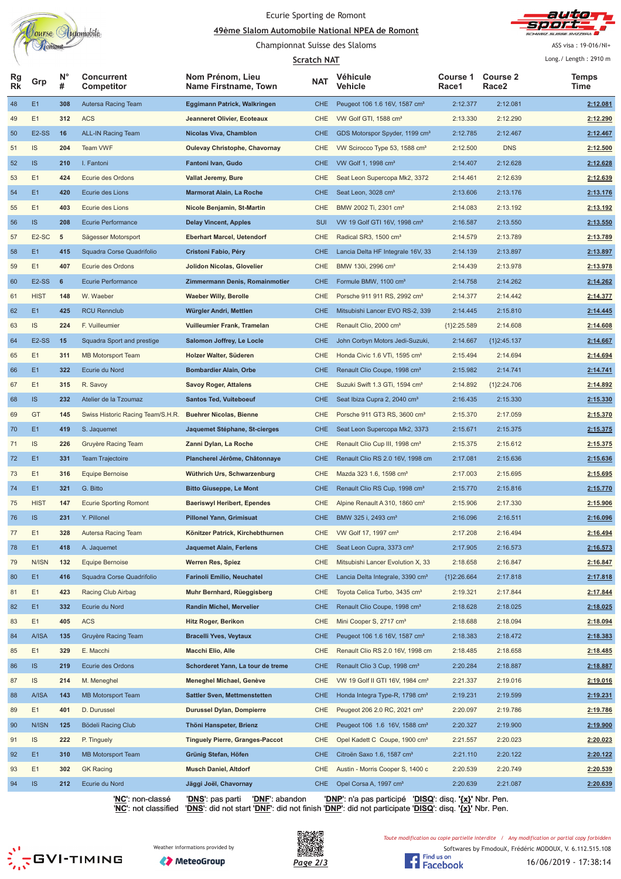

# Ecurie Sporting de Romont

<u>A9ème Slalom Automobile National NPEA de Romont</u> Championnat Suisse des Slaloms



ASS visa: 19-016/NI+

|                        |                    |                  |                                   |                                          | <b>Scratch NAT</b> |                                              |                   |                                      | Long./ Length: 2910 m |
|------------------------|--------------------|------------------|-----------------------------------|------------------------------------------|--------------------|----------------------------------------------|-------------------|--------------------------------------|-----------------------|
| <b>Rg</b><br><b>Rk</b> | Grp                | $N^{\circ}$<br># | <b>Concurrent</b><br>Competitor   | Nom Prénom, Lieu<br>Name Firstname, Town | NAT                | Véhicule<br>Vehicle                          | Course 1<br>Race1 | <b>Course 2</b><br>Race <sub>2</sub> | Temps<br>Time         |
| 48                     | E1                 | 308              | Autersa Racing Team               | Eggimann Patrick, Walkringen             | <b>CHE</b>         | Peugeot 106 1.6 16V, 1587 cm <sup>3</sup>    | 2:12.377          | 2:12.081                             | 2:12.081              |
| 49                     | E1                 | 312              | <b>ACS</b>                        | Jeanneret Olivier, Ecoteaux              | <b>CHE</b>         | VW Golf GTI, 1588 cm <sup>3</sup>            | 2:13.330          | 2:12.290                             | 2:12.290              |
| 50                     | E <sub>2</sub> -SS | 16               | <b>ALL-IN Racing Team</b>         | Nicolas Viva, Chamblon                   | <b>CHE</b>         | GDS Motorspor Spyder, 1199 cm <sup>3</sup>   | 2:12.785          | 2:12.467                             | 2:12.467              |
| 51                     | IS                 | 204              | Team VWF                          | <b>Oulevay Christophe, Chavornay</b>     | <b>CHE</b>         | VW Scirocco Type 53, 1588 cm <sup>3</sup>    | 2:12.500          | <b>DNS</b>                           | 2:12.500              |
| 52                     | IS.                | 210              | I. Fantoni                        | Fantoni Ivan, Gudo                       | <b>CHE</b>         | VW Golf 1, 1998 cm <sup>3</sup>              | 2:14.407          | 2:12.628                             | 2:12.628              |
| 53                     | E1                 | 424              | Ecurie des Ordons                 | Vallat Jeremy, Bure                      | CHE                | Seat Leon Supercopa Mk2, 3372                | 2:14.461          | 2:12.639                             | 2:12.639              |
| 54                     | E1                 | 420              | Ecurie des Lions                  | <b>Marmorat Alain, La Roche</b>          | <b>CHE</b>         | Seat Leon, 3028 cm <sup>3</sup>              | 2:13.606          | 2:13.176                             | 2:13.176              |
| 55                     | E1                 | 403              | Ecurie des Lions                  | Nicole Benjamin, St-Martin               | <b>CHE</b>         | BMW 2002 Ti, 2301 cm <sup>3</sup>            | 2:14.083          | 2:13.192                             | 2:13.192              |
| 56                     | <b>IS</b>          | 208              | <b>Ecurie Performance</b>         | <b>Delay Vincent, Apples</b>             | <b>SUI</b>         | VW 19 Golf GTI 16V, 1998 cm <sup>3</sup>     | 2:16.587          | 2:13.550                             | 2:13.550              |
| 57                     | E <sub>2</sub> -SC | 5                | Sägesser Motorsport               | <b>Eberhart Marcel, Uetendorf</b>        | CHE                | Radical SR3, 1500 cm <sup>3</sup>            | 2:14.579          | 2:13.789                             | 2:13.789              |
| 58                     | E1                 | 415              | Squadra Corse Quadrifolio         | Cristoni Fabio, Péry                     | <b>CHE</b>         | Lancia Delta HF Integrale 16V, 33            | 2:14.139          | 2:13.897                             | 2:13.897              |
| 59                     | E1                 | 407              | Ecurie des Ordons                 | Jolidon Nicolas, Glovelier               | CHE                | BMW 130i, 2996 cm <sup>3</sup>               | 2:14.439          | 2:13.978                             | 2:13.978              |
| 60                     | <b>E2-SS</b>       | 6                | <b>Ecurie Performance</b>         | Zimmermann Denis, Romainmotier           | <b>CHE</b>         | Formule BMW, 1100 cm <sup>3</sup>            | 2:14.758          | 2:14.262                             | 2:14.262              |
| 61                     | <b>HIST</b>        | 148              | W. Waeber                         | <b>Waeber Willy, Berolle</b>             | CHE                | Porsche 911 911 RS, 2992 cm <sup>3</sup>     | 2:14.377          | 2:14.442                             | 2:14.377              |
| 62                     | E1                 | 425              | <b>RCU Rennclub</b>               | Würgler Andri, Mettlen                   | <b>CHE</b>         | Mitsubishi Lancer EVO RS-2, 339              | 2:14.445          | 2:15.810                             | 2:14.445              |
| 63                     | IS.                | 224              | F. Vuilleumier                    | Vuilleumier Frank, Tramelan              | CHE                | Renault Clio, 2000 cm <sup>3</sup>           | ${1}2:25.589$     | 2:14.608                             | 2:14.608              |
| 64                     | <b>E2-SS</b>       | 15               | <b>Squadra Sport and prestige</b> | Salomon Joffrey, Le Locle                | <b>CHE</b>         | John Corbyn Motors Jedi-Suzuki,              | 2:14.667          | ${1}2:45.137$                        | 2:14.667              |
| 65                     | E1                 | 311              | <b>MB Motorsport Team</b>         | Holzer Walter, Süderen                   | <b>CHE</b>         | Honda Civic 1.6 VTi, 1595 cm <sup>3</sup>    | 2:15.494          | 2:14.694                             | 2:14.694              |
| 66                     | E1                 | 322              | Ecurie du Nord                    | <b>Bombardier Alain, Orbe</b>            | <b>CHE</b>         | Renault Clio Coupe, 1998 cm <sup>3</sup>     | 2:15.982          | 2:14.741                             | 2:14.741              |
| 67                     | E1                 | 315              | R. Savoy                          | <b>Savoy Roger, Attalens</b>             | <b>CHE</b>         | Suzuki Swift 1.3 GTi, 1594 cm <sup>3</sup>   | 2:14.892          | ${1}2:24.706$                        | 2:14.892              |
| 68                     | IS                 | 232              | Atelier de la Tzoumaz             | <b>Santos Ted, Vuiteboeuf</b>            | <b>CHE</b>         | Seat Ibiza Cupra 2, 2040 cm <sup>3</sup>     | 2:16.435          | 2:15.330                             | 2:15.330              |
| 69                     | GT                 | 145              | Swiss Historic Racing Team/S.H.R. | <b>Buehrer Nicolas, Bienne</b>           | <b>CHE</b>         | Porsche 911 GT3 RS, 3600 cm <sup>3</sup>     | 2:15.370          | 2:17.059                             | 2:15.370              |
| 70                     | E <sub>1</sub>     | 419              | S. Jaquemet                       | Jaquemet Stéphane, St-cierges            | <b>CHE</b>         | Seat Leon Supercopa Mk2, 3373                | 2:15.671          | 2:15.375                             | 2:15.375              |
| 71                     | IS                 | 226              | Gruyère Racing Team               | Zanni Dylan, La Roche                    | CHE                | Renault Clio Cup III, 1998 cm <sup>3</sup>   | 2:15.375          | 2:15.612                             | 2:15.375              |
| 72                     | E <sub>1</sub>     | 331              | <b>Team Trajectoire</b>           | Plancherel Jérôme, Châtonnaye            | <b>CHE</b>         | Renault Clio RS 2.0 16V, 1998 cm             | 2:17.081          | 2:15.636                             | 2:15.636              |
| 73                     | E1                 | 316              | Equipe Bernoise                   | Wüthrich Urs, Schwarzenburg              | CHE                | Mazda 323 1.6, 1598 cm <sup>3</sup>          | 2:17.003          | 2:15.695                             | 2:15.695              |
| 74                     | E <sub>1</sub>     | 321              | G. Bitto                          | <b>Bitto Giuseppe, Le Mont</b>           | <b>CHE</b>         | Renault Clio RS Cup, 1998 cm <sup>3</sup>    | 2:15.770          | 2:15.816                             | 2:15.770              |
| 75                     | <b>HIST</b>        | 147              | <b>Ecurie Sporting Romont</b>     | <b>Baeriswyl Heribert, Ependes</b>       | CHE                | Alpine Renault A 310, 1860 cm <sup>3</sup>   | 2:15.906          | 2:17.330                             | 2:15.906              |
| 76                     | <b>IS</b>          | 231              | Y. Pillonel                       | <b>Pillonel Yann, Grimisuat</b>          | <b>CHE</b>         | BMW 325 i, 2493 cm <sup>3</sup>              | 2:16.096          | 2:16.511                             | 2:16.096              |
| 77                     | E1                 | 328              | Autersa Racing Team               | Könitzer Patrick, Kirchebthurnen         | CHE                | VW Golf 17, 1997 cm <sup>3</sup>             | 2:17.208          | 2:16.494                             | 2:16.494              |
| 78                     | E1                 | 418              | A. Jaquemet                       | Jaquemet Alain, Ferlens                  | <b>CHE</b>         | Seat Leon Cupra, 3373 cm <sup>3</sup>        | 2:17.905          | 2:16.573                             | 2:16.573              |
| 79                     | N/ISN              | 132              | Equipe Bernoise                   | Werren Res, Spiez                        | CHE                | Mitsubishi Lancer Evolution X, 33            | 2:18.658          | 2:16.847                             | 2:16.847              |
| 80                     | E <sub>1</sub>     | 416              | Squadra Corse Quadrifolio         | <b>Farinoli Emilio, Neuchatel</b>        | <b>CHE</b>         | Lancia Delta Integrale, 3390 cm <sup>3</sup> | ${1}2:26.664$     | 2:17.818                             | 2:17.818              |
| 81                     | E1                 | 423              | Racing Club Airbag                | Muhr Bernhard, Rüeggisberg               | <b>CHE</b>         | Toyota Celica Turbo, 3435 cm <sup>3</sup>    | 2:19.321          | 2:17.844                             | 2:17.844              |
| 82                     | E1                 | 332              | Ecurie du Nord                    | Randin Michel, Mervelier                 | <b>CHE</b>         | Renault Clio Coupe, 1998 cm <sup>3</sup>     | 2:18.628          | 2:18.025                             | 2:18.025              |
| 83                     | E1                 | 405              | <b>ACS</b>                        | Hitz Roger, Berikon                      | CHE                | Mini Cooper S, 2717 cm <sup>3</sup>          | 2:18.688          | 2:18.094                             | 2:18.094              |
| 84                     | A/ISA              | 135              | Gruyère Racing Team               | <b>Bracelli Yves, Veytaux</b>            | <b>CHE</b>         | Peugeot 106 1.6 16V, 1587 cm <sup>3</sup>    | 2:18.383          | 2:18.472                             | 2:18.383              |
| 85                     | E1                 | 329              | E. Macchi                         | Macchi Elio, Alle                        | CHE                | Renault Clio RS 2.0 16V, 1998 cm             | 2:18.485          | 2:18.658                             | 2:18.485              |
| 86                     | IS                 | 219              | Ecurie des Ordons                 | Schorderet Yann, La tour de treme        | <b>CHE</b>         | Renault Clio 3 Cup, 1998 cm <sup>3</sup>     | 2:20.284          | 2:18.887                             | 2:18.887              |
| 87                     | <b>IS</b>          | 214              | M. Meneghel                       | Meneghel Michael, Genève                 | CHE                | VW 19 Golf II GTI 16V, 1984 cm <sup>3</sup>  | 2:21.337          | 2:19.016                             | 2:19.016              |
| 88                     | A/ISA              | 143              | <b>MB Motorsport Team</b>         | <b>Sattler Sven, Mettmenstetten</b>      | <b>CHE</b>         | Honda Integra Type-R, 1798 cm <sup>3</sup>   | 2:19.231          | 2:19.599                             | 2:19.231              |
| 89                     | E1                 | 401              | D. Durussel                       | <b>Durussel Dylan, Dompierre</b>         | CHE                | Peugeot 206 2.0 RC, 2021 cm <sup>3</sup>     | 2:20.097          | 2:19.786                             | 2:19.786              |
| 90                     | N/ISN              | 125              | Bödeli Racing Club                | Thöni Hanspeter, Brienz                  | <b>CHE</b>         | Peugeot 106 1.6 16V, 1588 cm <sup>3</sup>    | 2:20.327          | 2:19.900                             | 2:19.900              |
| 91                     | <b>IS</b>          | 222              | P. Tinguely                       | <b>Tinguely Pierre, Granges-Paccot</b>   | <b>CHE</b>         | Opel Kadett C Coupe, 1900 cm <sup>3</sup>    | 2:21.557          | 2:20.023                             | 2:20.023              |
| 92                     | E <sub>1</sub>     | 310              | MB Motorsport Team                | Grünig Stefan, Höfen                     | <b>CHE</b>         | Citroën Saxo 1.6, 1587 cm <sup>3</sup>       | 2:21.110          | 2:20.122                             | 2:20.122              |
| 93                     | E1                 | 302              | <b>GK Racing</b>                  | <b>Musch Daniel, Altdorf</b>             | CHE                | Austin - Morris Cooper S, 1400 c             | 2:20.539          | 2:20.749                             | 2:20.539              |
| 94                     | IS                 | 212              | Ecurie du Nord                    | Jäggi Joël, Chavornay                    | <b>CHE</b>         | Opel Corsa A, 1997 cm <sup>3</sup>           | 2:20.639          | 2:21.087                             | 2:20.639              |

'**NC**': non-classé '**DNS**': pas parti '**DNF**': abandon '**DNP**': n'a pas participé '**DISQ**': disq. **'{x}'** Nbr. Pen. '**NC**': not classified '**DNS**': did not start '**DNF**': did not finish '**DNP**': did not participate '**DISQ**': disq. **'{x}'** Nbr. Pen.





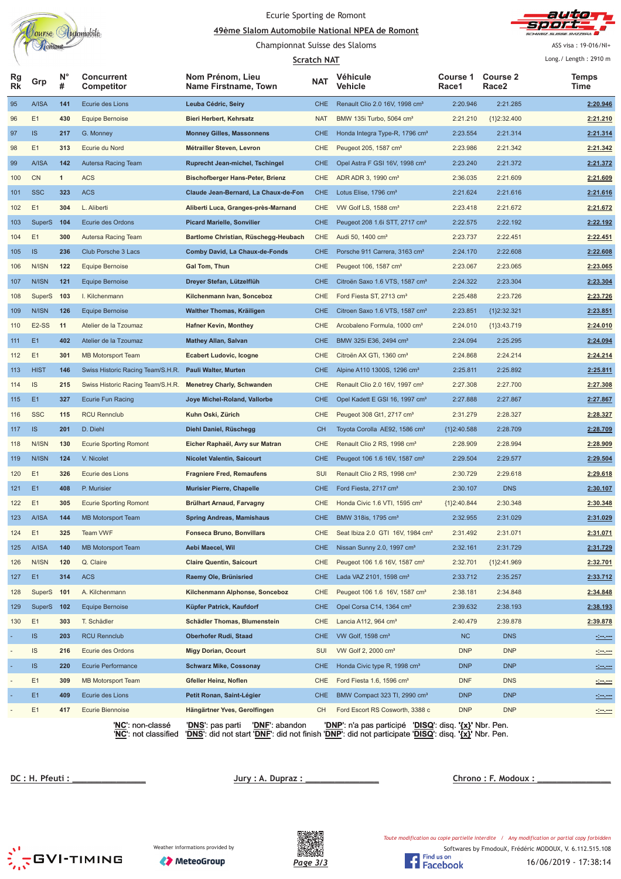

## Ecurie Sporting de Romont

#### <u>A9ème Slalom Automobile National NPEA de Romont</u>



Championnat Suisse des Slaloms

ASS visa: 19-016/NI+

|                          |                    |                  |                                   | <b>Scratch NAT</b>                       |            |                                                                                     |                   | Long./ Length: 2910 m                |                     |
|--------------------------|--------------------|------------------|-----------------------------------|------------------------------------------|------------|-------------------------------------------------------------------------------------|-------------------|--------------------------------------|---------------------|
| Rg<br><b>Rk</b>          | Grp                | $N^{\circ}$<br># | <b>Concurrent</b><br>Competitor   | Nom Prénom, Lieu<br>Name Firstname, Town | <b>NAT</b> | Véhicule<br>Vehicle                                                                 | Course 1<br>Race1 | <b>Course 2</b><br>Race <sub>2</sub> | Temps<br>Time       |
| 95                       | A/ISA              | 141              | Ecurie des Lions                  | Leuba Cédric, Seiry                      | <b>CHE</b> | Renault Clio 2.0 16V, 1998 cm <sup>3</sup>                                          | 2:20.946          | 2:21.285                             | 2:20.946            |
| 96                       | E1                 | 430              | <b>Equipe Bernoise</b>            | <b>Bieri Herbert, Kehrsatz</b>           | <b>NAT</b> | BMW 135i Turbo, 5064 cm <sup>3</sup>                                                | 2:21.210          | ${1}2:32.400$                        | 2:21.210            |
| 97                       | IS                 | 217              | G. Monney                         | <b>Monney Gilles, Massonnens</b>         | <b>CHE</b> | Honda Integra Type-R, 1796 cm <sup>3</sup>                                          | 2:23.554          | 2:21.314                             | 2:21.314            |
| 98                       | E1                 | 313              | Ecurie du Nord                    | Métrailler Steven, Levron                | CHE        | Peugeot 205, 1587 cm <sup>3</sup>                                                   | 2:23.986          | 2:21.342                             | 2:21.342            |
| 99                       | A/ISA              | 142              | <b>Autersa Racing Team</b>        | Ruprecht Jean-michel, Tschingel          | CHE        | Opel Astra F GSI 16V, 1998 cm <sup>3</sup>                                          | 2:23.240          | 2:21.372                             | 2:21.372            |
| 100                      | <b>CN</b>          | $\mathbf{1}$     | <b>ACS</b>                        | <b>Bischofberger Hans-Peter, Brienz</b>  | <b>CHE</b> | ADR ADR 3, 1990 cm <sup>3</sup>                                                     | 2:36.035          | 2:21.609                             | 2:21.609            |
| 101                      | <b>SSC</b>         | 323              | <b>ACS</b>                        | Claude Jean-Bernard, La Chaux-de-Fon     | <b>CHE</b> | Lotus Elise, 1796 cm <sup>3</sup>                                                   | 2:21.624          | 2:21.616                             | 2:21.616            |
| 102                      | E1                 | 304              | L. Aliberti                       | Aliberti Luca, Granges-près-Marnand      | <b>CHE</b> | VW Golf LS, 1588 cm <sup>3</sup>                                                    | 2:23.418          | 2:21.672                             | 2:21.672            |
| 103                      | <b>SuperS</b>      | 104              | Ecurie des Ordons                 | <b>Picard Marielle, Sonvilier</b>        | <b>CHE</b> | Peugeot 208 1.6 STT, 2717 cm <sup>3</sup>                                           | 2:22.575          | 2:22.192                             | 2:22.192            |
| 104                      | E1                 | 300              | Autersa Racing Team               | Bartlome Christian, Rüschegg-Heubach     | CHE        | Audi 50, 1400 cm <sup>3</sup>                                                       | 2:23.737          | 2:22.451                             | 2:22.451            |
| 105                      | IS                 | 236              | Club Porsche 3 Lacs               | Comby David, La Chaux-de-Fonds           | <b>CHE</b> | Porsche 911 Carrera, 3163 cm <sup>3</sup>                                           | 2:24.170          | 2:22.608                             | 2:22.608            |
| 106                      | N/ISN              | 122              | <b>Equipe Bernoise</b>            | Gal Tom, Thun                            | CHE        | Peugeot 106, 1587 cm <sup>3</sup>                                                   | 2:23.067          | 2:23.065                             | 2:23.065            |
| 107                      | N/ISN              | 121              | <b>Equipe Bernoise</b>            | Dreyer Stefan, Lützelflüh                | <b>CHE</b> | Citroën Saxo 1.6 VTS, 1587 cm <sup>3</sup>                                          | 2:24.322          | 2:23.304                             | 2:23.304            |
| 108                      | SuperS             | 103              | I. Kilchenmann                    | Kilchenmann Ivan, Sonceboz               | <b>CHE</b> | Ford Fiesta ST, 2713 cm <sup>3</sup>                                                | 2:25.488          | 2:23.726                             | 2:23.726            |
| 109                      | N/ISN              | 126              | <b>Equipe Bernoise</b>            | Walther Thomas, Kräiligen                | <b>CHE</b> | Citroen Saxo 1.6 VTS, 1587 cm <sup>3</sup>                                          | 2:23.851          | ${1}2:32.321$                        | 2:23.851            |
| 110                      | E <sub>2</sub> -SS | 11               | Atelier de la Tzoumaz             | <b>Hafner Kevin, Monthey</b>             | CHE        | Arcobaleno Formula, 1000 cm <sup>3</sup>                                            | 2:24.010          | ${1}3:43.719$                        | 2:24.010            |
| 111                      | E1                 | 402              | Atelier de la Tzoumaz             | <b>Mathey Allan, Salvan</b>              | <b>CHE</b> | BMW 325i E36, 2494 cm <sup>3</sup>                                                  | 2:24.094          | 2:25.295                             | 2:24.094            |
| 112                      | E1                 | 301              | <b>MB Motorsport Team</b>         | <b>Ecabert Ludovic, Icogne</b>           | CHE        | Citroën AX GTi, 1360 cm <sup>3</sup>                                                | 2:24.868          | 2:24.214                             | 2:24.214            |
| 113                      | <b>HIST</b>        | 146              | Swiss Historic Racing Team/S.H.R. | Pauli Walter, Murten                     | <b>CHE</b> | Alpine A110 1300S, 1296 cm <sup>3</sup>                                             | 2:25.811          | 2:25.892                             | 2:25.811            |
| 114                      | <b>IS</b>          | 215              | Swiss Historic Racing Team/S.H.R. | <b>Menetrey Charly, Schwanden</b>        | CHE        | Renault Clio 2.0 16V, 1997 cm <sup>3</sup>                                          | 2:27.308          | 2:27.700                             | 2:27.308            |
| 115                      | E1                 | 327              | <b>Ecurie Fun Racing</b>          | Joye Michel-Roland, Vallorbe             | <b>CHE</b> | Opel Kadett E GSI 16, 1997 cm <sup>3</sup>                                          | 2:27.888          | 2:27.867                             | 2:27.867            |
| 116                      | <b>SSC</b>         | 115              | <b>RCU Rennclub</b>               | Kuhn Oski, Zürich                        | CHE        | Peugeot 308 Gt1, 2717 cm <sup>3</sup>                                               | 2:31.279          | 2:28.327                             | 2:28.327            |
| 117                      | IS                 | 201              | D. Diehl                          | Diehl Daniel, Rüschegg                   | <b>CH</b>  | Toyota Corolla AE92, 1586 cm <sup>3</sup>                                           | ${1}2:40.588$     | 2:28.709                             | 2:28.709            |
| 118                      | N/ISN              | 130              | <b>Ecurie Sporting Romont</b>     | Eicher Raphaël, Avry sur Matran          | CHE        | Renault Clio 2 RS, 1998 cm <sup>3</sup>                                             | 2:28.909          | 2:28.994                             | 2:28.909            |
| 119                      | N/ISN              | 124              | V. Nicolet                        | <b>Nicolet Valentin, Saicourt</b>        | <b>CHE</b> | Peugeot 106 1.6 16V, 1587 cm <sup>3</sup>                                           | 2:29.504          | 2:29.577                             | 2:29.504            |
| 120                      | E1                 | 326              | Ecurie des Lions                  | <b>Fragniere Fred, Remaufens</b>         | <b>SUI</b> | Renault Clio 2 RS, 1998 cm <sup>3</sup>                                             | 2:30.729          | 2:29.618                             | 2:29.618            |
| 121                      | E <sub>1</sub>     | 408              | P. Murisier                       | <b>Murisier Pierre, Chapelle</b>         | <b>CHE</b> | Ford Fiesta, 2717 cm <sup>3</sup>                                                   | 2:30.107          | <b>DNS</b>                           | 2:30.107            |
| 122                      | E1                 | 305              | <b>Ecurie Sporting Romont</b>     | <b>Brülhart Arnaud, Farvagny</b>         | <b>CHE</b> | Honda Civic 1.6 VTI, 1595 cm <sup>3</sup>                                           | ${1}2:40.844$     | 2:30.348                             | 2:30.348            |
| 123                      | A/ISA              | 144              | <b>MB Motorsport Team</b>         | <b>Spring Andreas, Mamishaus</b>         | <b>CHE</b> | BMW 318is, 1795 cm <sup>3</sup>                                                     | 2:32.955          | 2:31.029                             | 2:31.029            |
| 124                      | E1                 | 325              | Team VWF                          | <b>Fonseca Bruno, Bonvillars</b>         | <b>CHE</b> | Seat Ibiza 2.0 GTI 16V, 1984 cm <sup>3</sup>                                        | 2:31.492          | 2:31.071                             | 2:31.071            |
| 125                      | A/ISA              | 140              | <b>MB Motorsport Team</b>         | Aebi Maecel, Wil                         | <b>CHE</b> | Nissan Sunny 2.0, 1997 cm <sup>3</sup>                                              | 2:32.161          | 2:31.729                             | 2:31.729            |
| 126                      | N/ISN              | 120              | Q. Claire                         | <b>Claire Quentin, Saicourt</b>          | CHE        | Peugeot 106 1.6 16V, 1587 cm <sup>3</sup>                                           | 2:32.701          | ${1}2:41.969$                        | 2:32.701            |
| 127                      | E1                 | 314              | <b>ACS</b>                        | Raemy Ole, Brünisried                    | <b>CHE</b> | Lada VAZ 2101, 1598 cm <sup>3</sup>                                                 | 2:33.712          | 2:35.257                             | 2:33.712            |
| 128                      | SuperS             | 101              | A. Kilchenmann                    | Kilchenmann Alphonse, Sonceboz           | CHE        | Peugeot 106 1.6 16V, 1587 cm <sup>3</sup>                                           | 2:38.181          | 2:34.848                             | 2:34.848            |
| 129                      | SuperS 102         |                  | <b>Equipe Bernoise</b>            | Küpfer Patrick, Kaufdorf                 | <b>CHE</b> | Opel Corsa C14, 1364 cm <sup>3</sup>                                                | 2:39.632          | 2:38.193                             | 2:38.193            |
| 130                      | E1                 | 303              | T. Schädler                       | Schädler Thomas, Blumenstein             | <b>CHE</b> | Lancia A112, 964 cm <sup>3</sup>                                                    | 2:40.479          | 2:39.878                             | 2:39.878            |
|                          | IS                 | 203              | <b>RCU Rennclub</b>               | <b>Oberhofer Rudi, Staad</b>             | <b>CHE</b> | VW Golf, 1598 cm <sup>3</sup>                                                       | <b>NC</b>         | <b>DNS</b>                           |                     |
| $\overline{\phantom{m}}$ | <b>IS</b>          | 216              | Ecurie des Ordons                 | <b>Migy Dorian, Ocourt</b>               | SUI        | VW Golf 2, 2000 cm <sup>3</sup>                                                     | <b>DNP</b>        | <b>DNP</b>                           |                     |
|                          | IS.                | 220              | <b>Ecurie Performance</b>         | <b>Schwarz Mike, Cossonay</b>            | <b>CHE</b> | Honda Civic type R, 1998 cm <sup>3</sup>                                            | <b>DNP</b>        | <b>DNP</b>                           | <u> 1999 - 1999</u> |
|                          | E1                 | 309              | <b>MB Motorsport Team</b>         | Gfeller Heinz, Noflen                    | CHE        | Ford Fiesta 1.6, 1596 $cm3$                                                         | <b>DNF</b>        | <b>DNS</b>                           | <u>Seven</u>        |
|                          | E1                 | 409              | Ecurie des Lions                  | Petit Ronan, Saint-Légier                | <b>CHE</b> | BMW Compact 323 TI, 2990 cm <sup>3</sup>                                            | <b>DNP</b>        | <b>DNP</b>                           |                     |
|                          | E1                 | 417              | Ecurie Biennoise                  | Hängärtner Yves, Gerolfingen             | <b>CH</b>  | Ford Escort RS Cosworth, 3388 c                                                     | <b>DNP</b>        | <b>DNP</b>                           |                     |
|                          |                    |                  | ' <u>NC</u> ': non-classé         |                                          |            | ' <u>DNP</u> ': n'a pas participé   ' <u>DISQ</u> ': disq. ' <u>{x}</u> ' Nbr. Pen. |                   |                                      | $-1 - 1 - 1 = 0$    |
|                          |                    |                  |                                   |                                          |            |                                                                                     |                   |                                      |                     |

'**NC**': not classified '**DNS**': did not start '**DNF**': did not finish '**DNP**': did not participate '**DISQ**': disq. **'{x}'** Nbr. Pen.

**!"# \$** 

<u>**no : F. Modoux : \_**</u>





Softwares by FmodouX, Frédéric MODOUX, V. 6.112.515.108 Toute modification ou copie partielle interdite / Any modification or partial copy forbidden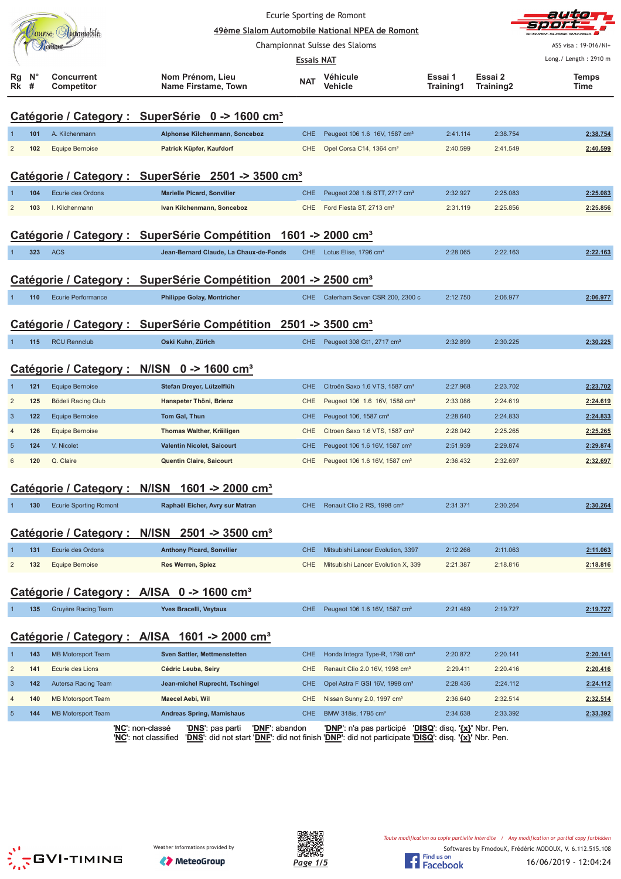|                |                     |                               |                                                                                | Ecurie Sporting de Romont      |                                                                                                                                                               |                      |                      | auto                  |
|----------------|---------------------|-------------------------------|--------------------------------------------------------------------------------|--------------------------------|---------------------------------------------------------------------------------------------------------------------------------------------------------------|----------------------|----------------------|-----------------------|
|                |                     | Jourse Automobile             |                                                                                |                                | 49ème Slalom Automobile National NPEA de Romont                                                                                                               |                      |                      |                       |
|                |                     | Tomont                        |                                                                                | Championnat Suisse des Slaloms |                                                                                                                                                               |                      |                      | ASS visa: 19-016/NI+  |
|                |                     |                               |                                                                                | <b>Essais NAT</b>              |                                                                                                                                                               |                      |                      | Long./ Length: 2910 m |
| Rg<br>Rk       | N <sub>c</sub><br># | Concurrent<br>Competitor      | Nom Prénom, Lieu<br>Name Firstame, Town                                        | <b>NAT</b>                     | Véhicule<br>Vehicle                                                                                                                                           | Essai 1<br>Training1 | Essai 2<br>Training2 | Temps<br>Time         |
|                |                     |                               | Catégorie / Category : SuperSérie 0 -> 1600 cm <sup>3</sup>                    |                                |                                                                                                                                                               |                      |                      |                       |
|                | 101                 | A. Kilchenmann                | Alphonse Kilchenmann, Sonceboz                                                 | <b>CHE</b>                     | Peugeot 106 1.6 16V, 1587 cm <sup>3</sup>                                                                                                                     | 2:41.114             | 2:38.754             | 2:38.754              |
| $\overline{2}$ | 102                 | Equipe Bernoise               | Patrick Küpfer, Kaufdorf                                                       | <b>CHE</b>                     | Opel Corsa C14, 1364 cm <sup>3</sup>                                                                                                                          | 2:40.599             | 2:41.549             | 2:40.599              |
|                |                     |                               | Catégorie / Category : SuperSérie 2501 -> 3500 cm <sup>3</sup>                 |                                |                                                                                                                                                               |                      |                      |                       |
|                | 104                 | <b>Ecurie des Ordons</b>      | <b>Marielle Picard, Sonvilier</b>                                              | <b>CHE</b>                     | Peugeot 208 1.6i STT, 2717 cm <sup>3</sup>                                                                                                                    | 2:32.927             | 2:25.083             | 2:25.083              |
| $\overline{2}$ | 103                 | I. Kilchenmann                | Ivan Kilchenmann, Sonceboz                                                     | <b>CHE</b>                     | Ford Fiesta ST, 2713 cm <sup>3</sup>                                                                                                                          | 2:31.119             | 2:25.856             | 2:25.856              |
|                |                     |                               | Catégorie / Category : SuperSérie Compétition 1601 -> 2000 cm <sup>3</sup>     |                                |                                                                                                                                                               |                      |                      |                       |
|                | 323                 | <b>ACS</b>                    | Jean-Bernard Claude, La Chaux-de-Fonds                                         | <b>CHE</b>                     | Lotus Elise, 1796 cm <sup>3</sup>                                                                                                                             | 2:28.065             | 2:22.163             | 2:22.163              |
|                |                     |                               | Catégorie / Category : SuperSérie Compétition 2001 -> 2500 cm <sup>3</sup>     |                                |                                                                                                                                                               |                      |                      |                       |
|                | 110                 | <b>Ecurie Performance</b>     | <b>Philippe Golay, Montricher</b>                                              | <b>CHE</b>                     | Caterham Seven CSR 200, 2300 c                                                                                                                                | 2:12.750             | 2:06.977             | 2:06.977              |
|                |                     |                               |                                                                                |                                |                                                                                                                                                               |                      |                      |                       |
|                |                     |                               | Catégorie / Category : SuperSérie Compétition 2501 -> 3500 cm <sup>3</sup>     |                                |                                                                                                                                                               |                      |                      |                       |
|                | 115                 | <b>RCU Rennclub</b>           | Oski Kuhn, Zürich                                                              | <b>CHE</b>                     | Peugeot 308 Gt1, 2717 cm <sup>3</sup>                                                                                                                         | 2:32.899             | 2:30.225             | 2:30.225              |
|                |                     |                               | Catégorie / Category : N/ISN 0 -> 1600 cm <sup>3</sup>                         |                                |                                                                                                                                                               |                      |                      |                       |
|                | 121                 | <b>Equipe Bernoise</b>        | Stefan Dreyer, Lützelflüh                                                      | <b>CHE</b>                     | Citroën Saxo 1.6 VTS, 1587 cm <sup>3</sup>                                                                                                                    | 2:27.968             | 2:23.702             | 2:23.702              |
| $\overline{2}$ | 125                 | Bödeli Racing Club            | Hanspeter Thöni, Brienz                                                        | <b>CHE</b>                     | Peugeot 106 1.6 16V, 1588 cm <sup>3</sup>                                                                                                                     | 2:33.086             | 2:24.619             | 2:24.619              |
| $\overline{3}$ | 122                 | <b>Equipe Bernoise</b>        | Tom Gal, Thun                                                                  | <b>CHE</b>                     | Peugeot 106, 1587 cm <sup>3</sup>                                                                                                                             | 2:28.640             | 2:24.833             | 2:24.833              |
| $\overline{4}$ | 126                 | <b>Equipe Bernoise</b>        | Thomas Walther, Kräiligen                                                      | <b>CHE</b>                     | Citroen Saxo 1.6 VTS, 1587 cm <sup>3</sup>                                                                                                                    | 2:28.042             | 2:25.265             | 2:25.265              |
| 5              | 124                 | V. Nicolet                    | Valentin Nicolet, Saicourt                                                     | <b>CHE</b>                     | Peugeot 106 1.6 16V, 1587 cm <sup>3</sup>                                                                                                                     | 2:51.939             | 2:29.874             | 2:29.874              |
| 6              | 120                 | Q. Claire                     | Quentin Claire, Saicourt                                                       | <b>CHE</b>                     | Peugeot 106 1.6 16V, 1587 cm <sup>3</sup>                                                                                                                     | 2:36.432             | 2:32.697             | 2:32.697              |
|                |                     |                               | Catégorie / Category : N/ISN 1601 -> 2000 cm <sup>3</sup>                      |                                |                                                                                                                                                               |                      |                      |                       |
|                | 130                 | <b>Ecurie Sporting Romont</b> | Raphaël Eicher, Avry sur Matran                                                | CHE                            | Renault Clio 2 RS, 1998 cm <sup>3</sup>                                                                                                                       | 2:31.371             | 2:30.264             | 2:30.264              |
|                |                     |                               | Catégorie / Category : N/ISN 2501 -> 3500 cm <sup>3</sup>                      |                                |                                                                                                                                                               |                      |                      |                       |
|                | 131                 | Ecurie des Ordons             | <b>Anthony Picard, Sonvilier</b>                                               | <b>CHE</b>                     | Mitsubishi Lancer Evolution, 3397                                                                                                                             | 2:12.266             | 2:11.063             | 2:11.063              |
| $\overline{2}$ | 132                 | Equipe Bernoise               | <b>Res Werren, Spiez</b>                                                       | <b>CHE</b>                     | Mitsubishi Lancer Evolution X, 339                                                                                                                            | 2:21.387             | 2:18.816             | 2:18.816              |
|                |                     |                               | Catégorie / Category : A/ISA 0 -> 1600 cm <sup>3</sup>                         |                                |                                                                                                                                                               |                      |                      |                       |
|                | 135                 | Gruyère Racing Team           | Yves Bracelli, Veytaux                                                         | <b>CHE</b>                     | Peugeot 106 1.6 16V, 1587 cm <sup>3</sup>                                                                                                                     | 2:21.489             | 2:19.727             | 2:19.727              |
|                |                     |                               | Catégorie / Category : A/ISA 1601 -> 2000 cm <sup>3</sup>                      |                                |                                                                                                                                                               |                      |                      |                       |
|                | 143                 | <b>MB Motorsport Team</b>     | Sven Sattler, Mettmenstetten                                                   | <b>CHE</b>                     | Honda Integra Type-R, 1798 cm <sup>3</sup>                                                                                                                    | 2:20.872             | 2:20.141             | 2:20.141              |
| $\overline{c}$ | 141                 | Ecurie des Lions              | Cédric Leuba, Seiry                                                            | CHE                            | Renault Clio 2.0 16V, 1998 cm <sup>3</sup>                                                                                                                    | 2:29.411             | 2:20.416             | 2:20.416              |
| $\overline{3}$ | 142                 | Autersa Racing Team           | Jean-michel Ruprecht, Tschingel                                                | <b>CHE</b>                     | Opel Astra F GSI 16V, 1998 cm <sup>3</sup>                                                                                                                    | 2:28.436             | 2:24.112             | 2:24.112              |
| $\overline{4}$ | 140                 | <b>MB Motorsport Team</b>     | <b>Maecel Aebi, Wil</b>                                                        | CHE                            | Nissan Sunny 2.0, 1997 cm <sup>3</sup>                                                                                                                        | 2:36.640             | 2:32.514             | 2:32.514              |
| $\overline{5}$ | 144                 | <b>MB Motorsport Team</b>     | <b>Andreas Spring, Mamishaus</b>                                               | <b>CHE</b>                     | BMW 318is, 1795 cm <sup>3</sup>                                                                                                                               | 2:34.638             | 2:33.392             | 2:33.392              |
|                |                     |                               | ' <u>NC</u> ': non-classé<br>' <u>DNS</u> ': pas parti<br>'NC': not classified | 'DNF': abandon                 | 'DNP': n'a pas participé 'DISQ': disq. '{x}' Nbr. Pen.<br>'DNS': did not start 'DNF': did not finish 'DNP': did not participate 'DISQ': disq. '{x}' Nbr. Pen. |                      |                      |                       |





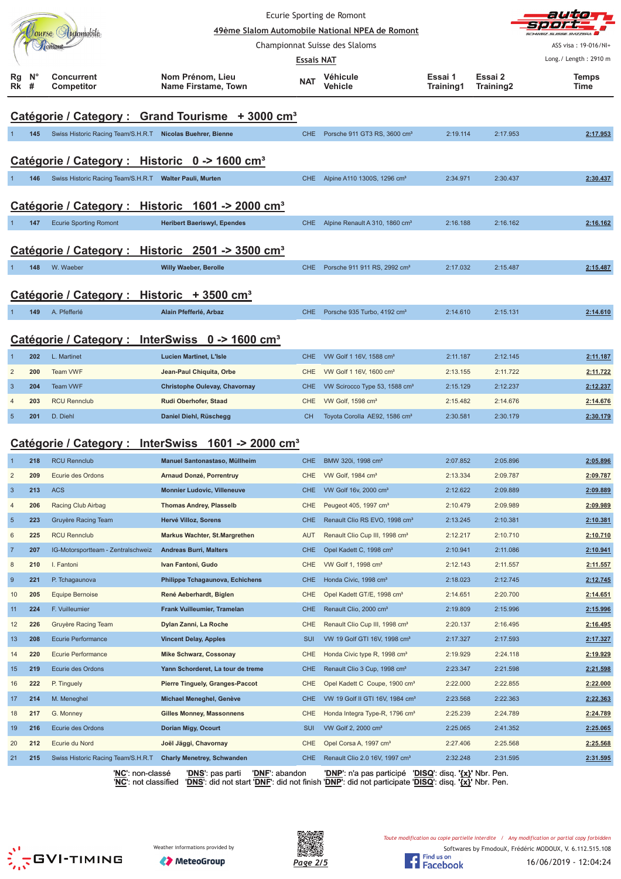|                |                  |                                                            |                                                                |                          | Ecurie Sporting de Romont<br>49ème Slalom Automobile National NPEA de Romont      |                      |                      |                       |
|----------------|------------------|------------------------------------------------------------|----------------------------------------------------------------|--------------------------|-----------------------------------------------------------------------------------|----------------------|----------------------|-----------------------|
|                |                  | ourse Hutomobile                                           |                                                                |                          | Championnat Suisse des Slaloms                                                    |                      |                      | ASS visa: 19-016/NI+  |
|                |                  |                                                            |                                                                | <b>Essais NAT</b>        |                                                                                   |                      |                      | Long./ Length: 2910 m |
| Rg<br>Rk       | $N^{\circ}$<br># | <b>Concurrent</b><br>Competitor                            | Nom Prénom. Lieu<br>Name Firstame, Town                        | NAT                      | Véhicule<br>Vehicle                                                               | Essai 1<br>Training1 | Essai 2<br>Training2 | <b>Temps</b><br>Time  |
|                |                  |                                                            | Catégorie / Category : Grand Tourisme + 3000 cm <sup>3</sup>   |                          |                                                                                   |                      |                      |                       |
|                | 145              | Swiss Historic Racing Team/S.H.R.T Nicolas Buehrer, Bienne |                                                                | <b>CHE</b>               | Porsche 911 GT3 RS, 3600 cm <sup>3</sup>                                          | 2:19.114             | 2:17.953             | 2:17.953              |
|                |                  | Catégorie / Category : Historic 0 -> 1600 cm <sup>3</sup>  |                                                                |                          |                                                                                   |                      |                      |                       |
|                | 146              | Swiss Historic Racing Team/S.H.R.T Walter Pauli, Murten    |                                                                | CHE                      | Alpine A110 1300S, 1296 cm <sup>3</sup>                                           | 2:34.971             | 2:30.437             | 2:30.437              |
|                |                  |                                                            |                                                                |                          |                                                                                   |                      |                      |                       |
|                |                  |                                                            | Catégorie / Category : Historic 1601 -> 2000 cm <sup>3</sup>   |                          |                                                                                   |                      |                      |                       |
|                | 147              | <b>Ecurie Sporting Romont</b>                              | <b>Heribert Baeriswyl, Ependes</b>                             | CHE                      | Alpine Renault A 310, 1860 cm <sup>3</sup>                                        | 2:16.188             | 2:16.162             | 2:16.162              |
|                |                  |                                                            |                                                                |                          |                                                                                   |                      |                      |                       |
|                |                  |                                                            | Catégorie / Category : Historic 2501 -> 3500 cm <sup>3</sup>   |                          |                                                                                   |                      |                      |                       |
|                | 148              | W. Waeber                                                  | <b>Willy Waeber, Berolle</b>                                   | CHE.                     | Porsche 911 911 RS, 2992 cm <sup>3</sup>                                          | 2:17.032             | 2:15.487             | 2:15.487              |
|                |                  | Catégorie / Category : Historic + 3500 cm <sup>3</sup>     |                                                                |                          |                                                                                   |                      |                      |                       |
|                | 149              | A. Pfefferlé                                               | Alain Pfefferlé, Arbaz                                         | CHE.                     | Porsche 935 Turbo, 4192 cm <sup>3</sup>                                           | 2:14.610             | 2:15.131             | 2:14.610              |
|                |                  |                                                            |                                                                |                          |                                                                                   |                      |                      |                       |
|                |                  | Catégorie / Category :                                     | InterSwiss $0 \rightarrow 1600 \text{ cm}^3$                   |                          |                                                                                   |                      |                      |                       |
|                | 202              | L. Martinet                                                | <b>Lucien Martinet, L'Isle</b>                                 | CHE                      | VW Golf 1 16V, 1588 cm <sup>3</sup>                                               | 2:11.187             | 2:12.145             | 2:11.187              |
| $\overline{2}$ | 200              | Team VWF                                                   | Jean-Paul Chiquita, Orbe                                       | <b>CHE</b>               | VW Golf 1 16V, 1600 cm <sup>3</sup>                                               | 2:13.155             | 2:11.722             | 2:11.722              |
| 3              | 204              | <b>Team VWF</b>                                            | <b>Christophe Oulevay, Chavornay</b>                           | <b>CHE</b>               | VW Scirocco Type 53, 1588 cm <sup>3</sup>                                         | 2:15.129             | 2:12.237             | 2:12.237              |
| $\overline{4}$ | 203              | <b>RCU Rennclub</b>                                        | Rudi Oberhofer, Staad                                          | <b>CHE</b>               | VW Golf, 1598 cm <sup>3</sup>                                                     | 2:15.482             | 2:14.676             | 2:14.676              |
| 5              | 201              | D. Diehl                                                   | Daniel Diehl, Rüschegg                                         | CH.                      | Toyota Corolla AE92, 1586 cm <sup>3</sup>                                         | 2:30.581             | 2:30.179             | 2:30.179              |
|                |                  |                                                            |                                                                |                          |                                                                                   |                      |                      |                       |
|                |                  |                                                            | Catégorie / Category : InterSwiss 1601 -> 2000 cm <sup>3</sup> |                          |                                                                                   |                      |                      |                       |
|                | 218              | <b>RCU Rennclub</b>                                        | Manuel Santonastaso, Müllheim                                  | <b>CHE</b>               | BMW 320i, 1998 cm <sup>3</sup>                                                    | 2:07.852             | 2:05.896             | 2:05.896              |
| $\overline{2}$ | 209              | Ecurie des Ordons                                          | Arnaud Donzé, Porrentruy                                       | CHE                      | VW Golf, 1984 cm <sup>3</sup>                                                     | 2:13.334             | 2:09.787             | 2:09.787              |
| $\mathbf{3}$   | 213              | <b>ACS</b>                                                 | <b>Monnier Ludovic, Villeneuve</b>                             | <b>CHE</b>               | VW Golf 16v, 2000 cm <sup>3</sup>                                                 | 2:12.622             | 2:09.889             | 2:09.889              |
| 4              | 206              | Racing Club Airbag                                         | <b>Thomas Andrey, Plasselb</b>                                 | <b>CHE</b>               | Peugeot 405, 1997 cm <sup>3</sup>                                                 | 2:10.479             | 2:09.989             | 2:09.989              |
| $\sqrt{5}$     | 223              | Gruyère Racing Team                                        | Hervé Villoz, Sorens                                           | <b>CHE</b>               | Renault Clio RS EVO, 1998 cm <sup>3</sup>                                         | 2:13.245             | 2:10.381             | 2:10.381              |
| 6              | 225              | <b>RCU Rennclub</b>                                        | <b>Markus Wachter, St.Margrethen</b>                           | <b>AUT</b>               | Renault Clio Cup III, 1998 cm <sup>3</sup>                                        | 2:12.217             | 2:10.710             | 2:10.710              |
| $\overline{7}$ | 207              | IG-Motorsportteam - Zentralschweiz                         | <b>Andreas Burri, Malters</b>                                  | <b>CHE</b>               | Opel Kadett C, 1998 cm <sup>3</sup>                                               | 2:10.941             | 2:11.086             | 2:10.941              |
| 8              | 210              | I. Fantoni                                                 | Ivan Fantoni, Gudo                                             | <b>CHE</b>               | VW Golf 1, 1998 cm <sup>3</sup>                                                   | 2:12.143             | 2:11.557             | 2:11.557              |
| 9              | 221              | P. Tchagaunova                                             | Philippe Tchagaunova, Echichens                                | <b>CHE</b>               | Honda Civic, 1998 cm <sup>3</sup>                                                 | 2:18.023             | 2:12.745             | 2:12.745              |
| 10             | 205<br>224       | <b>Equipe Bernoise</b><br>F. Vuilleumier                   | René Aeberhardt, Biglen<br>Frank Vuilleumier, Tramelan         | <b>CHE</b><br><b>CHE</b> | Opel Kadett GT/E, 1998 cm <sup>3</sup><br>Renault Clio, 2000 cm <sup>3</sup>      | 2:14.651<br>2:19.809 | 2:20.700<br>2:15.996 | 2:14.651              |
| 11             | 226              | Gruyère Racing Team                                        | Dylan Zanni, La Roche                                          | CHE                      | Renault Clio Cup III, 1998 cm <sup>3</sup>                                        | 2:20.137             | 2:16.495             | 2:15.996<br>2:16.495  |
| 12<br>13       | 208              | <b>Ecurie Performance</b>                                  | <b>Vincent Delay, Apples</b>                                   | <b>SUI</b>               | VW 19 Golf GTI 16V, 1998 cm <sup>3</sup>                                          | 2:17.327             | 2:17.593             | 2:17.327              |
| 14             | 220              | Ecurie Performance                                         | <b>Mike Schwarz, Cossonay</b>                                  | CHE                      | Honda Civic type R, 1998 cm <sup>3</sup>                                          | 2:19.929             | 2:24.118             | 2:19.929              |
| 15             | 219              | Ecurie des Ordons                                          | Yann Schorderet, La tour de treme                              | <b>CHE</b>               | Renault Clio 3 Cup, 1998 cm <sup>3</sup>                                          | 2:23.347             | 2:21.598             | 2:21.598              |
| 16             | 222              | P. Tinguely                                                | <b>Pierre Tinguely, Granges-Paccot</b>                         | CHE                      | Opel Kadett C Coupe, 1900 cm <sup>3</sup>                                         | 2:22.000             | 2:22.855             | 2:22.000              |
| 17             | 214              | M. Meneghel                                                | Michael Meneghel, Genève                                       | <b>CHE</b>               | VW 19 Golf II GTI 16V, 1984 cm <sup>3</sup>                                       | 2:23.568             | 2:22.363             | 2:22.363              |
| 18             | 217              | G. Monney                                                  | <b>Gilles Monney, Massonnens</b>                               | CHE                      | Honda Integra Type-R, 1796 cm <sup>3</sup>                                        | 2:25.239             | 2:24.789             | 2:24.789              |
| 19             | 216              | Ecurie des Ordons                                          | Dorian Migy, Ocourt                                            | <b>SUI</b>               | VW Golf 2, 2000 cm <sup>3</sup>                                                   | 2:25.065             | 2:41.352             | 2:25.065              |
| 20             | 212              | Ecurie du Nord                                             | Joël Jäggi, Chavornay                                          | CHE                      | Opel Corsa A, 1997 cm <sup>3</sup>                                                | 2:27.406             | 2:25.568             | 2:25.568              |
| 21             | 215              | Swiss Historic Racing Team/S.H.R.T                         | <b>Charly Menetrey, Schwanden</b>                              | CHE                      | Renault Clio 2.0 16V, 1997 cm <sup>3</sup>                                        | 2:32.248             | 2:31.595             | 2:31.595              |
|                |                  | ' <u>NC</u> ': non-classé                                  | ' <u>DNS'</u> : pas parti                                      | <b>'DNF':</b> abandon    | ' <u>DNP'</u> : n'a pas participé ' <u>DISQ</u> ': disq. ' <u>{x}</u> ' Nbr. Pen. |                      |                      |                       |

'**NC**': not classified '**DNS**': did not start '**DNF**': did not finish '**DNP**': did not participate '**DISQ**': disq. **'{x}'** Nbr. Pen.





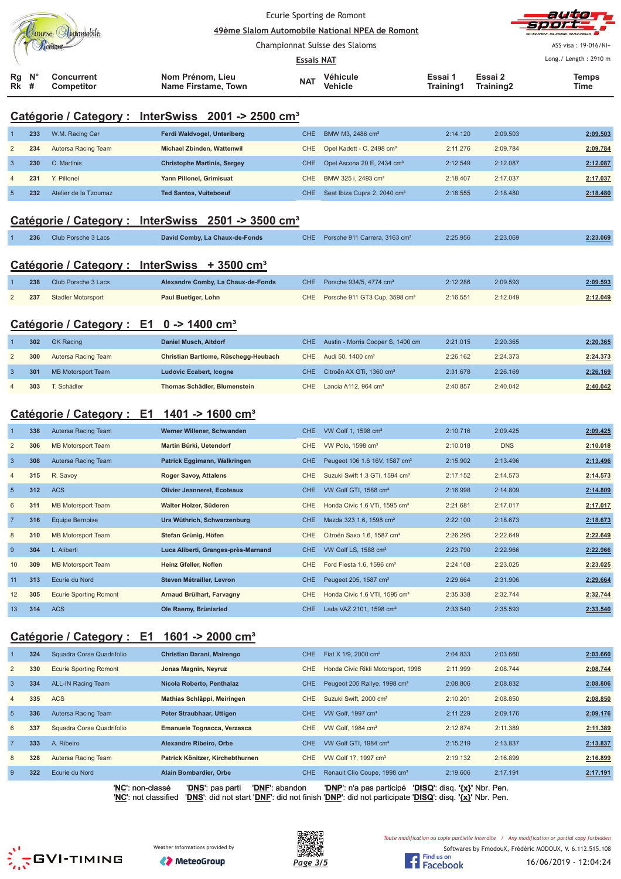|                                 |  |                                 | Ecurie Sporting de Romont<br>49ème Slalom Automobile National NPEA de Romont |            |                     |                      |                      | autor<br>sport-<br>SCHWEIZ SUISSE SVIZZEDA    |
|---------------------------------|--|---------------------------------|------------------------------------------------------------------------------|------------|---------------------|----------------------|----------------------|-----------------------------------------------|
|                                 |  |                                 | Championnat Suisse des Slaloms<br><b>Essais NAT</b>                          |            |                     |                      |                      | ASS visa: 19-016/NI+<br>Long./ Length: 2910 m |
|                                 |  |                                 |                                                                              |            |                     |                      |                      |                                               |
| $Rg$ $N^{\circ}$<br><b>Rk</b> # |  | <b>Concurrent</b><br>Competitor | Nom Prénom, Lieu<br>Name Firstame, Town                                      | <b>NAT</b> | Véhicule<br>Vehicle | Essai 1<br>Training1 | Essai 2<br>Training2 | <b>Temps</b><br>Time                          |

## **Catégorie / Category : InterSwiss 2001 -> 2500 cm³**

|    | 233 | W.M. Racing Car       | Ferdi Waldvogel, Unteriberg        | CHE I | BMW M3, 2486 cm <sup>3</sup>                 | 2:14.120 | 2:09.503 | 2:09.503 |
|----|-----|-----------------------|------------------------------------|-------|----------------------------------------------|----------|----------|----------|
| 2  | 234 | Autersa Racing Team   | Michael Zbinden, Wattenwil         |       | CHE Opel Kadett - C, 2498 cm <sup>3</sup>    | 2:11.276 | 2:09.784 | 2:09.784 |
| 3  | 230 | C. Martinis           | <b>Christophe Martinis, Sergey</b> |       | CHE Opel Ascona 20 E, 2434 cm <sup>3</sup>   | 2:12.549 | 2:12.087 | 2:12.087 |
| 4  | 231 | Y. Pillonel           | Yann Pillonel, Grimisuat           |       | CHE BMW 325 i. 2493 cm <sup>3</sup>          | 2:18.407 | 2:17.037 | 2:17.037 |
| -5 | 232 | Atelier de la Tzoumaz | <b>Ted Santos, Vuiteboeuf</b>      |       | CHE Seat Ibiza Cupra 2, 2040 cm <sup>3</sup> | 2:18.555 | 2:18.480 | 2:18.480 |
|    |     |                       |                                    |       |                                              |          |          |          |

## **Catégorie / Category : InterSwiss 2501 -> 3500 cm³**

| 236 | Club Porsche 3 Lacs | David Comby, La Chaux-de-Fonds | CHE Porsche 911 Carrera, 3163 cm <sup>3</sup> | 2:25.956 | 2:23.069 | 2:23.069 |
|-----|---------------------|--------------------------------|-----------------------------------------------|----------|----------|----------|
|     |                     |                                |                                               |          |          |          |

### **Catégorie / Category : InterSwiss + 3500 cm³**

| 238 | Club Porsche 3 Lacs | Alexandre Comby, La Chaux-de-Fonds | CHE Porsche 934/5, 4774 cm <sup>3</sup>       | 2:12.286 | 2:09.593 | 2:09.593 |
|-----|---------------------|------------------------------------|-----------------------------------------------|----------|----------|----------|
| 237 | Stadler Motorsport  | Paul Buetiger, Lohn                | CHE Porsche 911 GT3 Cup, 3598 cm <sup>3</sup> | 2:16.551 | 2:12.049 | 2:12.049 |

## **Catégorie / Category : E1 0 -> 1400 cm³**

| 302 | <b>GK Racing</b>    | Daniel Musch, Altdorf                | CHE Austin - Morris Cooper S, 1400 cm    | 2:21.015 | 2:20.365 | 2:20.365 |
|-----|---------------------|--------------------------------------|------------------------------------------|----------|----------|----------|
| 300 | Autersa Racing Team | Christian Bartlome, Rüschegg-Heubach | CHE Audi 50, 1400 cm <sup>3</sup>        | 2:26.162 | 2:24.373 | 2:24.373 |
| 301 | MB Motorsport Team  | Ludovic Ecabert, Icogne              | CHE Citroën AX GTi, 1360 cm <sup>3</sup> | 2:31.678 | 2:26.169 | 2:26.169 |
| 303 | T. Schädler         | Thomas Schädler, Blumenstein         | CHE Lancia A112, 964 $\text{cm}^3$       | 2:40.857 | 2:40.042 | 2:40.042 |

## **Catégorie / Category : E1 1401 -> 1600 cm³**

|                | 338 | Autersa Racing Team           | Werner Willener, Schwanden          |            | CHE VW Golf 1, 1598 cm <sup>3</sup>        | 2:10.716 | 2:09.425   | 2:09.425 |
|----------------|-----|-------------------------------|-------------------------------------|------------|--------------------------------------------|----------|------------|----------|
| $\overline{2}$ | 306 | <b>MB Motorsport Team</b>     | Martin Bürki, Uetendorf             | CHE.       | VW Polo, $1598 \text{ cm}^3$               | 2:10.018 | <b>DNS</b> | 2:10.018 |
| $\overline{3}$ | 308 | <b>Autersa Racing Team</b>    | Patrick Eggimann, Walkringen        | CHE        | Peugeot 106 1.6 16V, 1587 cm <sup>3</sup>  | 2:15.902 | 2:13.496   | 2:13.496 |
| $\overline{4}$ | 315 | R. Savoy                      | <b>Roger Savoy, Attalens</b>        | CHE.       | Suzuki Swift 1.3 GTi, 1594 cm <sup>3</sup> | 2:17.152 | 2:14.573   | 2:14.573 |
| 5              | 312 | <b>ACS</b>                    | <b>Olivier Jeanneret, Ecoteaux</b>  | <b>CHE</b> | VW Golf GTI, 1588 cm <sup>3</sup>          | 2:16.998 | 2:14.809   | 2:14.809 |
| 6              | 311 | <b>MB Motorsport Team</b>     | Walter Holzer, Süderen              | CHE        | Honda Civic 1.6 VTi, 1595 cm <sup>3</sup>  | 2:21.681 | 2:17.017   | 2:17.017 |
|                | 316 | <b>Equipe Bernoise</b>        | Urs Wüthrich, Schwarzenburg         | <b>CHE</b> | Mazda 323 1.6, 1598 cm <sup>3</sup>        | 2:22.100 | 2:18.673   | 2:18.673 |
| 8              | 310 | <b>MB Motorsport Team</b>     | Stefan Grünig, Höfen                | CHE.       | Citroën Saxo 1.6, 1587 cm <sup>3</sup>     | 2:26.295 | 2:22.649   | 2:22.649 |
| -9             | 304 | L. Aliberti                   | Luca Aliberti, Granges-près-Marnand | CHE.       | VW Golf LS, 1588 cm <sup>3</sup>           | 2:23.790 | 2:22.966   | 2:22.966 |
| 10             | 309 | <b>MB Motorsport Team</b>     | Heinz Gfeller, Noflen               | CHE        | Ford Fiesta 1.6, 1596 cm <sup>3</sup>      | 2:24.108 | 2:23.025   | 2:23.025 |
| 11             | 313 | Ecurie du Nord                | Steven Métrailler, Levron           | CHE.       | Peugeot 205, 1587 cm <sup>3</sup>          | 2:29.664 | 2:31.906   | 2:29.664 |
| 12             | 305 | <b>Ecurie Sporting Romont</b> | Arnaud Brülhart, Farvagny           | CHE.       | Honda Civic 1.6 VTI, 1595 cm <sup>3</sup>  | 2:35.338 | 2:32.744   | 2:32.744 |
| 13             | 314 | <b>ACS</b>                    | Ole Raemy, Brünisried               | CHE        | Lada VAZ 2101, 1598 cm <sup>3</sup>        | 2:33.540 | 2:35.593   | 2:33.540 |

## **Catégorie / Category : E1 1601 -> 2000 cm³**

|                | 324 | Squadra Corse Quadrifolio     | Christian Darani, Mairengo         | CHE. | Fiat X 1/9, 2000 cm <sup>3</sup>         | 2:04.833                      | 2:03.660 | 2:03.660 |
|----------------|-----|-------------------------------|------------------------------------|------|------------------------------------------|-------------------------------|----------|----------|
| $\overline{2}$ | 330 | <b>Ecurie Sporting Romont</b> | Jonas Magnin, Neyruz               | CHE. | Honda Civic Rikli Motorsport, 1998       | 2:11.999                      | 2:08.744 | 2:08.744 |
| 3              | 334 | <b>ALL-IN Racing Team</b>     | Nicola Roberto, Penthalaz          | CHE. | Peugeot 205 Rallye, 1998 cm <sup>3</sup> | 2:08.806                      | 2:08.832 | 2:08.806 |
| $\overline{4}$ | 335 | <b>ACS</b>                    | Mathias Schläppi, Meiringen        | CHE. | Suzuki Swift, 2000 cm <sup>3</sup>       | 2:10.201                      | 2:08.850 | 2:08.850 |
| $5^{\circ}$    | 336 | Autersa Racing Team           | Peter Straubhaar, Uttigen          | CHE. | VW Golf, 1997 cm <sup>3</sup>            | 2:11.229                      | 2:09.176 | 2:09.176 |
| 6              | 337 | Squadra Corse Quadrifolio     | Emanuele Tognacca, Verzasca        | CHE. | VW Golf, 1984 cm <sup>3</sup>            | 2:12.874                      | 2:11.389 | 2:11.389 |
|                | 333 | A. Ribeiro                    | <b>Alexandre Ribeiro, Orbe</b>     | CHE. | VW Golf GTI, 1984 cm <sup>3</sup>        | 2:15.219                      | 2:13.837 | 2:13.837 |
| 8              | 328 | Autersa Racing Team           | Patrick Könitzer, Kirchebthurnen   | CHE. | VW Golf 17, 1997 cm <sup>3</sup>         | 2:19.132                      | 2:16.899 | 2:16.899 |
| 9              | 322 | Ecurie du Nord                | Alain Bombardier, Orbe             | CHE. | Renault Clio Coupe, 1998 cm <sup>3</sup> | 2:19.606                      | 2:17.191 | 2:17.191 |
|                |     | 'NC': non-classé              | 'DNF': abandon<br>'DNS': pas parti |      | 'DNP': n'a pas participé                 | 'DISQ': disq. '{x}' Nbr. Pen. |          |          |

'**NC**': not classified '**DNS**': did not start '**DNF**': did not finish '**DNP**': did not participate '**DISQ**': disq. **'{x}'** Nbr. Pen.





Softwares by FmodouX, Frédéric MODOUX, V. 6.112.515.108 Toute modification ou copie partielle interdite / Any modification or partial copy forbidden

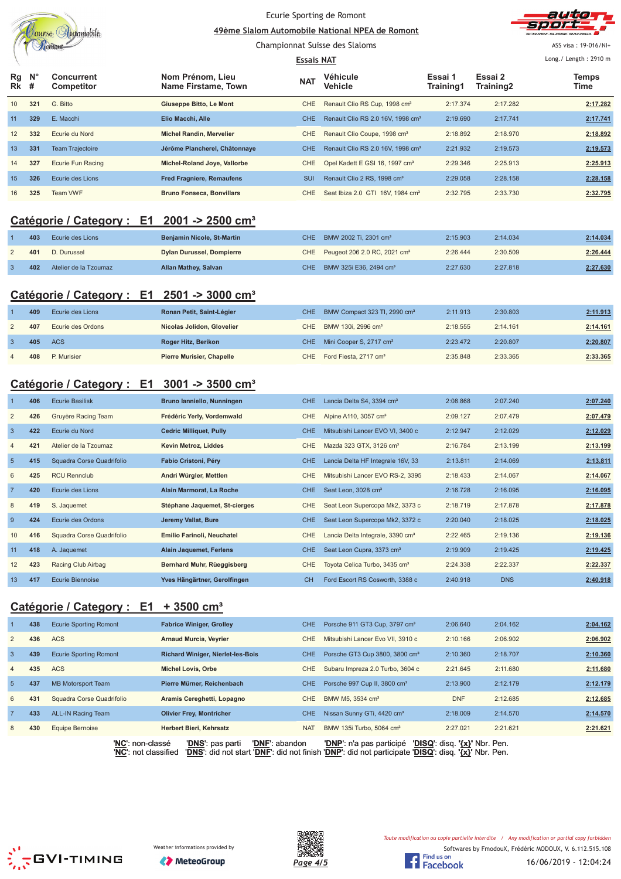|                |                  | Jourse Automobile                                      |                                          | Ecurie Sporting de Romont      | 49ème Slalom Automobile National NPEA de Romont |                      |                      |                       |
|----------------|------------------|--------------------------------------------------------|------------------------------------------|--------------------------------|-------------------------------------------------|----------------------|----------------------|-----------------------|
|                |                  |                                                        |                                          | Championnat Suisse des Slaloms |                                                 |                      |                      | ASS visa: 19-016/NI+  |
|                |                  |                                                        |                                          | <b>Essais NAT</b>              |                                                 |                      |                      | Long./ Length: 2910 m |
| Rg<br>Rk       | $N^{\circ}$<br># | <b>Concurrent</b><br>Competitor                        | Nom Prénom, Lieu<br>Name Firstame, Town  | <b>NAT</b>                     | <b>Véhicule</b><br><b>Vehicle</b>               | Essai 1<br>Training1 | Essai 2<br>Training2 | Temps<br>Time         |
| 10             | 321              | G. Bitto                                               | Giuseppe Bitto, Le Mont                  | <b>CHE</b>                     | Renault Clio RS Cup, 1998 cm <sup>3</sup>       | 2:17.374             | 2:17.282             | 2:17.282              |
| 11             | 329              | E. Macchi                                              | Elio Macchi, Alle                        | <b>CHE</b>                     | Renault Clio RS 2.0 16V, 1998 cm <sup>3</sup>   | 2:19.690             | 2:17.741             | 2:17.741              |
| 12             | 332              | Ecurie du Nord                                         | <b>Michel Randin, Mervelier</b>          | CHE                            | Renault Clio Coupe, 1998 cm <sup>3</sup>        | 2:18.892             | 2:18.970             | 2:18.892              |
| 13             | 331              | <b>Team Trajectoire</b>                                | Jérôme Plancherel, Châtonnaye            | <b>CHE</b>                     | Renault Clio RS 2.0 16V, 1998 cm <sup>3</sup>   | 2:21.932             | 2:19.573             | 2:19.573              |
| 14             | 327              | Ecurie Fun Racing                                      | Michel-Roland Joye, Vallorbe             | CHE                            | Opel Kadett E GSI 16, 1997 cm <sup>3</sup>      | 2:29.346             | 2:25.913             | 2:25.913              |
| 15             | 326              | Ecurie des Lions                                       | <b>Fred Fragniere, Remaufens</b>         | SUI                            | Renault Clio 2 RS, 1998 cm <sup>3</sup>         | 2:29.058             | 2:28.158             | 2:28.158              |
| 16             | 325              | Team VWF                                               | <b>Bruno Fonseca, Bonvillars</b>         | <b>CHE</b>                     | Seat Ibiza 2.0 GTI 16V, 1984 cm <sup>3</sup>    | 2:32.795             | 2:33.730             | 2:32.795              |
|                |                  | Catégorie / Category : E1 2001 -> 2500 cm <sup>3</sup> |                                          |                                |                                                 |                      |                      |                       |
|                | 403              | Ecurie des Lions                                       | Benjamin Nicole, St-Martin               | <b>CHE</b>                     | BMW 2002 Ti, 2301 cm <sup>3</sup>               | 2:15.903             | 2:14.034             | 2:14.034              |
| $\overline{2}$ | 401              | D. Durussel                                            | <b>Dylan Durussel, Dompierre</b>         | CHE                            | Peugeot 206 2.0 RC, 2021 cm <sup>3</sup>        | 2:26.444             | 2:30.509             | 2:26.444              |
| 3              | 402              | Atelier de la Tzoumaz                                  | <b>Allan Mathey, Salvan</b>              | CHE.                           | BMW 325i E36, 2494 cm <sup>3</sup>              | 2:27.630             | 2:27.818             | 2:27.630              |
|                |                  |                                                        |                                          |                                |                                                 |                      |                      |                       |
|                |                  | Catégorie / Category : E1 2501 -> 3000 cm <sup>3</sup> |                                          |                                |                                                 |                      |                      |                       |
| -1             | 409              | Ecurie des Lions                                       | Ronan Petit, Saint-Légier                | <b>CHE</b>                     | BMW Compact 323 TI, 2990 cm <sup>3</sup>        | 2:11.913             | 2:30.803             | 2:11.913              |
| $\overline{2}$ | 407              | Ecurie des Ordons                                      | Nicolas Jolidon, Glovelier               | <b>CHE</b>                     | BMW 130i, 2996 cm <sup>3</sup>                  | 2:18.555             | 2:14.161             | 2:14.161              |
| $\overline{3}$ | 405              | <b>ACS</b>                                             | Roger Hitz, Berikon                      | <b>CHE</b>                     | Mini Cooper S, 2717 cm <sup>3</sup>             | 2:23.472             | 2:20.807             | 2:20.807              |
| $\overline{4}$ | 408              | P. Murisier                                            | <b>Pierre Murisier, Chapelle</b>         | CHE                            | Ford Fiesta, 2717 cm <sup>3</sup>               | 2:35.848             | 2:33.365             | 2:33.365              |
|                |                  | Catégorie / Category : E1 3001 -> 3500 cm <sup>3</sup> |                                          |                                |                                                 |                      |                      |                       |
|                | 406              | <b>Ecurie Basilisk</b>                                 | Bruno lanniello, Nunningen               | <b>CHE</b>                     | Lancia Delta S4, 3394 cm <sup>3</sup>           | 2:08.868             | 2:07.240             | 2:07.240              |
| $\overline{2}$ | 426              | Gruyère Racing Team                                    | Frédéric Yerly, Vordemwald               | <b>CHE</b>                     | Alpine A110, 3057 cm <sup>3</sup>               | 2:09.127             | 2:07.479             | 2:07.479              |
| $\overline{3}$ | 422              | Ecurie du Nord                                         | <b>Cedric Milliquet, Pully</b>           | <b>CHE</b>                     | Mitsubishi Lancer EVO VI, 3400 c                | 2:12.947             | 2:12.029             | 2:12.029              |
| $\overline{4}$ | 421              | Atelier de la Tzoumaz                                  | Kevin Metroz, Liddes                     | <b>CHE</b>                     | Mazda 323 GTX, 3126 cm <sup>3</sup>             | 2:16.784             | 2:13.199             | 2:13.199              |
| 5              | 415              | Squadra Corse Quadrifolio                              | Fabio Cristoni, Péry                     | <b>CHE</b>                     | Lancia Delta HF Integrale 16V, 33               | 2:13.811             | 2:14.069             | 2:13.811              |
| 6              | 425              | <b>RCU Rennclub</b>                                    | Andri Würgler, Mettlen                   | CHE                            | Mitsubishi Lancer EVO RS-2, 3395                | 2:18.433             | 2:14.067             | 2:14.067              |
| $\overline{7}$ | 420              | Ecurie des Lions                                       | Alain Marmorat, La Roche                 | <b>CHE</b>                     | Seat Leon, 3028 cm <sup>3</sup>                 | 2:16.728             | 2:16.095             | 2:16.095              |
| 8              | 419              | S. Jaquemet                                            | Stéphane Jaquemet, St-cierges            | CHE                            | Seat Leon Supercopa Mk2, 3373 c                 | 2:18.719             | 2:17.878             | 2:17.878              |
| $\overline{9}$ | 424              | Ecurie des Ordons                                      | Jeremy Vallat, Bure                      | <b>CHE</b>                     | Seat Leon Supercopa Mk2, 3372 c                 | 2:20.040             | 2:18.025             | 2:18.025              |
| 10             | 416              | Squadra Corse Quadrifolio                              | Emilio Farinoli, Neuchatel               | CHE                            | Lancia Delta Integrale, 3390 cm <sup>3</sup>    | 2:22.465             | 2:19.136             | 2:19.136              |
| 11             | 418              | A. Jaquemet                                            | <b>Alain Jaquemet, Ferlens</b>           | <b>CHE</b>                     | Seat Leon Cupra, 3373 cm <sup>3</sup>           | 2:19.909             | 2:19.425             | 2:19.425              |
| 12             | 423              | Racing Club Airbag                                     | Bernhard Muhr, Rüeggisberg               | <b>CHE</b>                     | Toyota Celica Turbo, 3435 cm <sup>3</sup>       | 2:24.338             | 2:22.337             | 2:22.337              |
| 13             | 417              | <b>Ecurie Biennoise</b>                                | Yves Hängärtner, Gerolfingen             | <b>CH</b>                      | Ford Escort RS Cosworth, 3388 c                 | 2:40.918             | <b>DNS</b>           | 2:40.918              |
|                |                  | Catégorie / Category : E1                              | $+3500$ cm <sup>3</sup>                  |                                |                                                 |                      |                      |                       |
| 1              | 438              | <b>Ecurie Sporting Romont</b>                          | <b>Fabrice Winiger, Grolley</b>          | <b>CHE</b>                     | Porsche 911 GT3 Cup, 3797 cm <sup>3</sup>       | 2:06.640             | 2:04.162             | 2:04.162              |
| $\overline{c}$ | 436              | <b>ACS</b>                                             | <b>Arnaud Murcia, Veyrier</b>            | CHE                            | Mitsubishi Lancer Evo VII, 3910 c               | 2:10.166             | 2:06.902             | 2:06.902              |
| $\mathbf{3}$   | 439              | <b>Ecurie Sporting Romont</b>                          | <b>Richard Winiger, Nierlet-les-Bois</b> | <b>CHE</b>                     | Porsche GT3 Cup 3800, 3800 cm <sup>3</sup>      | 2:10.360             | 2:18.707             | 2:10.360              |
| $\overline{4}$ | 435              | <b>ACS</b>                                             | <b>Michel Lovis, Orbe</b>                | CHE                            | Subaru Impreza 2.0 Turbo, 3604 c                | 2:21.645             | 2:11.680             | 2:11.680              |
| $\overline{5}$ | 437              | <b>MB Motorsport Team</b>                              | Pierre Mürner, Reichenbach               | <b>CHE</b>                     | Porsche 997 Cup II, 3800 cm <sup>3</sup>        | 2:13.900             | 2:12.179             | 2:12.179              |
| 6              | 431              | Squadra Corse Quadrifolio                              | Aramis Cereghetti, Lopagno               | CHE                            | BMW M5, 3534 cm <sup>3</sup>                    | <b>DNF</b>           | 2:12.685             | 2:12.685              |
| $\overline{7}$ | 433              | <b>ALL-IN Racing Team</b>                              | <b>Olivier Frey, Montricher</b>          | CHE                            | Nissan Sunny GTi, 4420 cm <sup>3</sup>          | 2:18.009             | 2:14.570             | 2:14.570              |
| 8              | 430              | Equipe Bernoise                                        | <b>Herbert Bieri, Kehrsatz</b>           | <b>NAT</b>                     | BMW 135i Turbo, 5064 cm <sup>3</sup>            | 2:27.021             | 2:21.621             | 2:21.621              |

'**NC**': non-classé '**DNS**': pas parti '**DNF**': abandon '**DNP**': n'a pas participé '**DISQ**': disq. **'{x}'** Nbr. Pen. '**NC**': not classified '**DNS**': did not start '**DNF**': did not finish '**DNP**': did not participate '**DISQ**': disq. **'{x}'** Nbr. Pen.







16/06/2019 - 12:04:24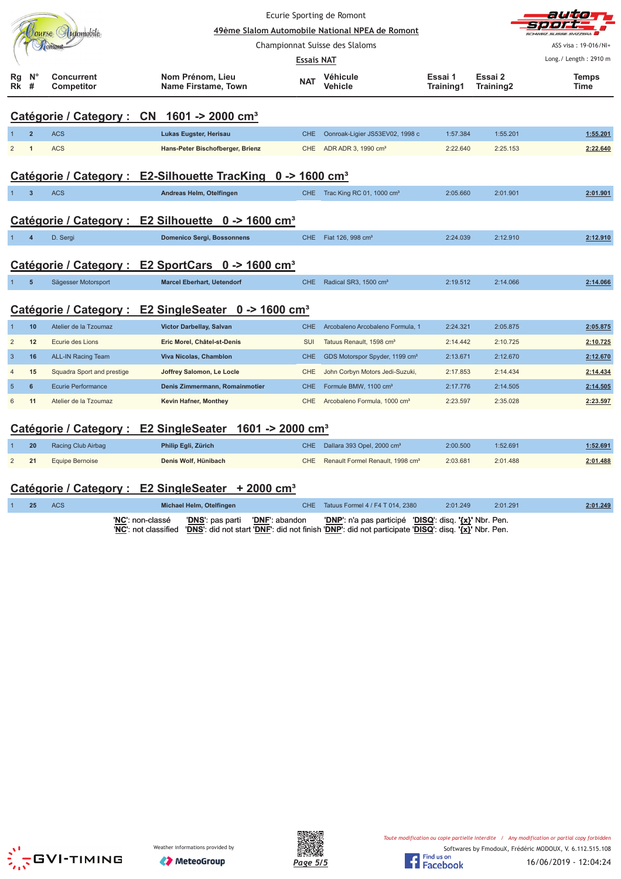|                 |                         |                                                                                       |                                                                         |                   | Ecurie Sporting de Romont                       |                      |                      | auta                  |  |  |  |
|-----------------|-------------------------|---------------------------------------------------------------------------------------|-------------------------------------------------------------------------|-------------------|-------------------------------------------------|----------------------|----------------------|-----------------------|--|--|--|
|                 |                         | Jourse Automobile                                                                     |                                                                         |                   | 49ème Slalom Automobile National NPEA de Romont |                      |                      |                       |  |  |  |
|                 |                         |                                                                                       |                                                                         |                   | Championnat Suisse des Slaloms                  |                      |                      | ASS visa: 19-016/NI+  |  |  |  |
|                 |                         |                                                                                       |                                                                         | <b>Essais NAT</b> |                                                 |                      |                      | Long./ Length: 2910 m |  |  |  |
| Rg<br>Rk        | $N^{\circ}$<br>#        | <b>Concurrent</b><br><b>Competitor</b>                                                | Nom Prénom, Lieu<br>Name Firstame, Town                                 | <b>NAT</b>        | <b>Véhicule</b><br>Vehicle                      | Essai 1<br>Training1 | Essai 2<br>Training2 | <b>Temps</b><br>Time  |  |  |  |
|                 |                         |                                                                                       | Catégorie / Category : CN 1601 -> 2000 cm <sup>3</sup>                  |                   |                                                 |                      |                      |                       |  |  |  |
|                 | $\overline{2}$          | <b>ACS</b>                                                                            | Lukas Eugster, Herisau                                                  | CHE.              | Oonroak-Ligier JS53EV02, 1998 c                 | 1:57.384             | 1:55.201             | 1:55.201              |  |  |  |
| 2               | 1                       | <b>ACS</b>                                                                            | Hans-Peter Bischofberger, Brienz                                        | CHE               | ADR ADR 3, 1990 cm <sup>3</sup>                 | 2:22.640             | 2:25.153             | 2:22.640              |  |  |  |
|                 |                         |                                                                                       |                                                                         |                   |                                                 |                      |                      |                       |  |  |  |
|                 |                         |                                                                                       | Catégorie / Category : E2-Silhouette TracKing 0 -> 1600 cm <sup>3</sup> |                   |                                                 |                      |                      |                       |  |  |  |
|                 | $\overline{\mathbf{3}}$ | <b>ACS</b>                                                                            | Andreas Helm, Otelfingen                                                | CHE.              | Trac King RC 01, 1000 cm <sup>3</sup>           | 2:05.660             | 2:01.901             | 2:01.901              |  |  |  |
|                 |                         |                                                                                       |                                                                         |                   |                                                 |                      |                      |                       |  |  |  |
|                 |                         |                                                                                       | Catégorie / Category : E2 Silhouette 0 -> 1600 cm <sup>3</sup>          |                   |                                                 |                      |                      |                       |  |  |  |
|                 | $\overline{a}$          | D. Sergi                                                                              | <b>Domenico Sergi, Bossonnens</b>                                       | CHE.              | Fiat 126, 998 cm <sup>3</sup>                   | 2:24.039             | 2:12.910             | 2:12.910              |  |  |  |
|                 |                         |                                                                                       | Catégorie / Category : E2 SportCars 0 -> 1600 cm <sup>3</sup>           |                   |                                                 |                      |                      |                       |  |  |  |
| $\mathbf{1}$    | $5\phantom{1}$          | Sägesser Motorsport                                                                   | <b>Marcel Eberhart, Uetendorf</b>                                       | CHE.              | Radical SR3, 1500 cm <sup>3</sup>               | 2:19.512             | 2:14.066             | 2:14.066              |  |  |  |
|                 |                         |                                                                                       | Catégorie / Category : E2 SingleSeater 0 -> 1600 cm <sup>3</sup>        |                   |                                                 |                      |                      |                       |  |  |  |
|                 | 10                      | Atelier de la Tzoumaz                                                                 | Victor Darbellay, Salvan                                                | CHE.              | Arcobaleno Arcobaleno Formula, 1                | 2:24.321             | 2:05.875             | 2:05.875              |  |  |  |
| $\overline{2}$  | 12                      | Ecurie des Lions                                                                      | Eric Morel, Châtel-st-Denis                                             | <b>SUI</b>        | Tatuus Renault, 1598 cm <sup>3</sup>            | 2:14.442             | 2:10.725             | 2:10.725              |  |  |  |
| $\overline{3}$  | 16                      | <b>ALL-IN Racing Team</b>                                                             | Viva Nicolas, Chamblon                                                  | CHE.              | GDS Motorspor Spyder, 1199 cm <sup>3</sup>      | 2:13.671             | 2:12.670             | 2:12.670              |  |  |  |
|                 | 15                      | Squadra Sport and prestige                                                            | Joffrey Salomon, Le Locle                                               | <b>CHE</b>        | John Corbyn Motors Jedi-Suzuki,                 | 2:17.853             | 2:14.434             | 2:14.434              |  |  |  |
| 5               | 6                       | Ecurie Performance                                                                    | Denis Zimmermann, Romainmotier                                          | CHE.              | Formule BMW, 1100 cm <sup>3</sup>               | 2:17.776             | 2:14.505             | 2:14.505              |  |  |  |
| $6\phantom{1}6$ | 11                      | Atelier de la Tzoumaz                                                                 | Kevin Hafner, Monthey                                                   | CHE.              | Arcobaleno Formula, 1000 cm <sup>3</sup>        | 2:23.597             | 2:35.028             | 2:23.597              |  |  |  |
|                 |                         | $AMA \sim AMA$<br>$\mathcal{L}$ and $\mathcal{L}$ and $\mathcal{L}$ and $\mathcal{L}$ |                                                                         |                   |                                                 |                      |                      |                       |  |  |  |

## **Catégorie / Category : E2 SingleSeater 1601 -> 2000 cm³**

| 20 | Racing Club Airbag     | Philip Egli, Zürich  | CHE Dallara 393 Opel, 2000 cm <sup>3</sup>       | 2:00.500 | 1:52.691 | 1:52.691 |
|----|------------------------|----------------------|--------------------------------------------------|----------|----------|----------|
| 21 | <b>Equipe Bernoise</b> | Denis Wolf, Hünibach | CHE Renault Formel Renault, 1998 cm <sup>3</sup> | 2:03.681 | 2:01.488 | 2:01.488 |

# Catégorie / Category : E2 SingleSeater + 2000 cm<sup>3</sup><br>1 25 ACS Michael Helm, Otelfingen

| 25 | <b>ACS</b> | Michael Helm, Otelfingen                                                                                                                                                                      | CHE Tatuus Formel 4 / F4 T 014, 2380                   | 2:01.249 | 2:01.291 | 2:01.249 |
|----|------------|-----------------------------------------------------------------------------------------------------------------------------------------------------------------------------------------------|--------------------------------------------------------|----------|----------|----------|
|    |            | 'NC': non-classé<br><b>'DNS':</b> pas parti <b>'DNF':</b> abandon<br>'NC': not classified 'DNS': did not start 'DNF': did not finish 'DNP': did not participate 'DISQ': disq. '{x}' Nbr. Pen. | 'DNP': n'a pas participé 'DISQ': disq. '{x}' Nbr. Pen. |          |          |          |





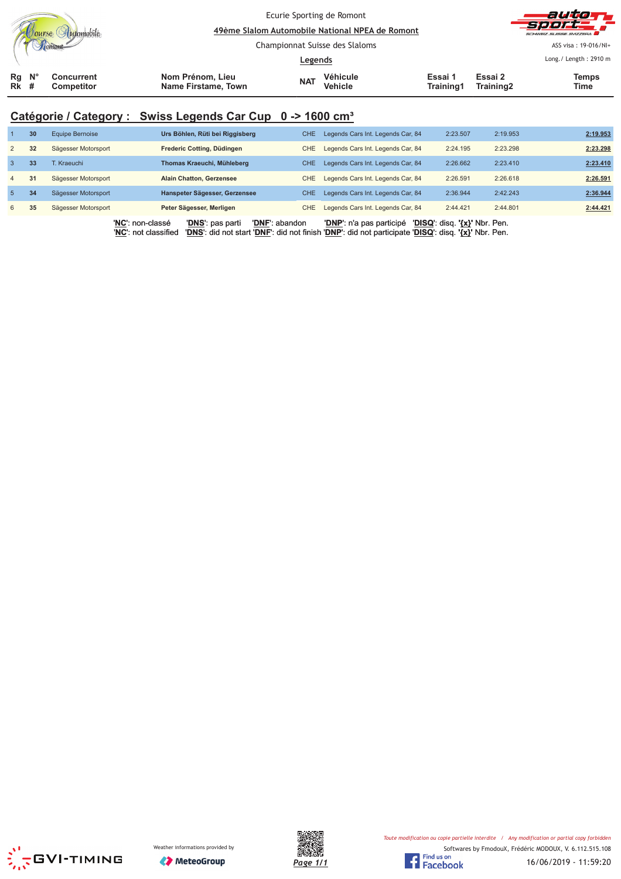|              |             |                          | Ecurie Sporting de Romont<br>49ème Slalom Automobile National NPEA de Romont |            |                            |                      |                      | autor<br>sport.<br>SCHWEIZ SUISSE SVIZZERA    |
|--------------|-------------|--------------------------|------------------------------------------------------------------------------|------------|----------------------------|----------------------|----------------------|-----------------------------------------------|
|              |             |                          | Championnat Suisse des Slaloms<br><u>Legends</u>                             |            |                            |                      |                      | ASS visa: 19-016/NI+<br>Long./ Length: 2910 m |
| Rg<br>$Rk$ # | $N^{\circ}$ | Concurrent<br>Competitor | Nom Prénom, Lieu<br>Name Firstame, Town                                      | <b>NAT</b> | Véhicule<br><b>Vehicle</b> | Essai 1<br>Training1 | Essai 2<br>Training2 | Temps<br>Time                                 |

# **Catégorie / Category : Swiss Legends Car Cup 0 -> 1600 cm³**

|                | 30              | <b>Equipe Bernoise</b> | Urs Böhlen, Rüti bei Riggisberg                            | CHE. | Legends Cars Int. Legends Car, 84                                                                                               | 2:23.507                      | 2:19.953 | 2:19.953 |
|----------------|-----------------|------------------------|------------------------------------------------------------|------|---------------------------------------------------------------------------------------------------------------------------------|-------------------------------|----------|----------|
| $\overline{2}$ | 32              | Sägesser Motorsport    | Frederic Cotting, Düdingen                                 | CHE. | Legends Cars Int. Legends Car, 84                                                                                               | 2:24.195                      | 2:23.298 | 2:23.298 |
| 3              | 33 <sup>3</sup> | <b>F. Kraeuchi</b>     | Thomas Kraeuchi, Mühleberg                                 | CHE. | Legends Cars Int. Legends Car, 84                                                                                               | 2:26.662                      | 2:23.410 | 2:23.410 |
| $\overline{4}$ | 31              | Sägesser Motorsport    | <b>Alain Chatton, Gerzensee</b>                            | CHE. | Legends Cars Int. Legends Car, 84                                                                                               | 2:26.591                      | 2:26.618 | 2:26.591 |
| 5 <sub>5</sub> | 34              | Sägesser Motorsport    | Hanspeter Sägesser, Gerzensee                              | CHE. | Legends Cars Int. Legends Car, 84                                                                                               | 2:36.944                      | 2:42.243 | 2:36.944 |
| 6              | 35              | Sägesser Motorsport    | Peter Sägesser, Merligen                                   | CHE. | Legends Cars Int. Legends Car, 84                                                                                               | 2:44.421                      | 2:44.801 | 2:44.421 |
|                |                 | 'NC': non-classé       | 'DNF': abandon<br>'DNS': pas parti<br>'NC': not classified |      | 'DNP': n'a pas participé<br>'DNS': did not start 'DNF': did not finish 'DNP': did not participate 'DISQ': disq. '{x}' Nbr. Pen. | 'DISQ': disq. '{x}' Nbr. Pen. |          |          |